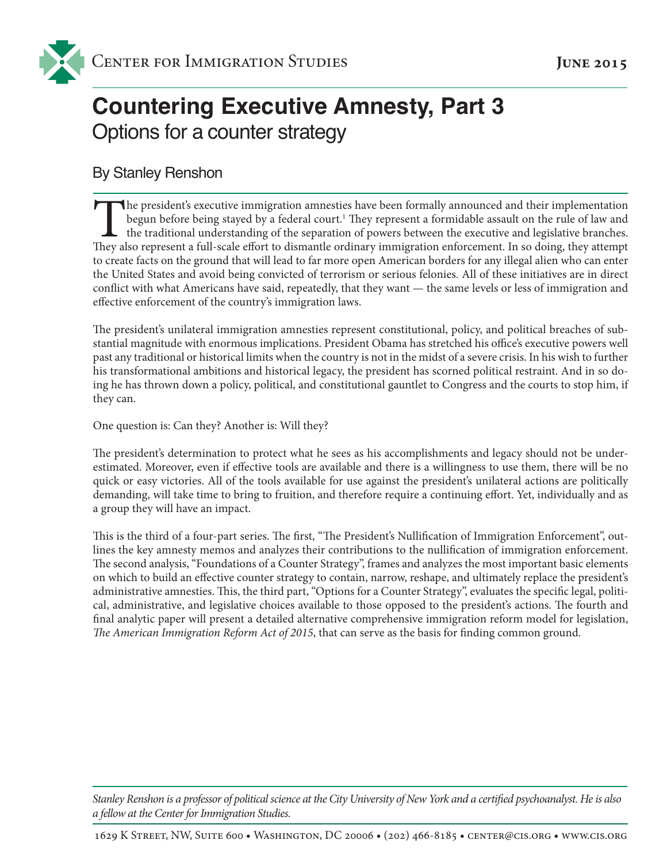# **Countering Executive Amnesty, Part 3** Options for a counter strategy

## By Stanley Renshon

The president's executive immigration amnesties have been formally announced and their implementation<br>begun before being stayed by a federal court.<sup>1</sup> They represent a formidable assault on the rule of law and<br>the traditio begun before being stayed by a federal court.<sup>1</sup> They represent a formidable assault on the rule of law and the traditional understanding of the separation of powers between the executive and legislative branches. They also represent a full-scale effort to dismantle ordinary immigration enforcement. In so doing, they attempt to create facts on the ground that will lead to far more open American borders for any illegal alien who can enter the United States and avoid being convicted of terrorism or serious felonies. All of these initiatives are in direct conflict with what Americans have said, repeatedly, that they want — the same levels or less of immigration and effective enforcement of the country's immigration laws.

The president's unilateral immigration amnesties represent constitutional, policy, and political breaches of substantial magnitude with enormous implications. President Obama has stretched his office's executive powers well past any traditional or historical limits when the country is not in the midst of a severe crisis. In his wish to further his transformational ambitions and historical legacy, the president has scorned political restraint. And in so doing he has thrown down a policy, political, and constitutional gauntlet to Congress and the courts to stop him, if they can.

One question is: Can they? Another is: Will they?

The president's determination to protect what he sees as his accomplishments and legacy should not be underestimated. Moreover, even if effective tools are available and there is a willingness to use them, there will be no quick or easy victories. All of the tools available for use against the president's unilateral actions are politically demanding, will take time to bring to fruition, and therefore require a continuing effort. Yet, individually and as a group they will have an impact.

This is the third of a four-part series. The first, "The President's Nullification of Immigration Enforcement", outlines the key amnesty memos and analyzes their contributions to the nullification of immigration enforcement. The second analysis, "Foundations of a Counter Strategy", frames and analyzes the most important basic elements on which to build an effective counter strategy to contain, narrow, reshape, and ultimately replace the president's administrative amnesties. This, the third part, "Options for a Counter Strategy", evaluates the specific legal, political, administrative, and legislative choices available to those opposed to the president's actions. The fourth and final analytic paper will present a detailed alternative comprehensive immigration reform model for legislation, *The American Immigration Reform Act of 2015*, that can serve as the basis for finding common ground.

*Stanley Renshon is a professor of political science at the City University of New York and a certified psychoanalyst. He is also a fellow at the Center for Immigration Studies.*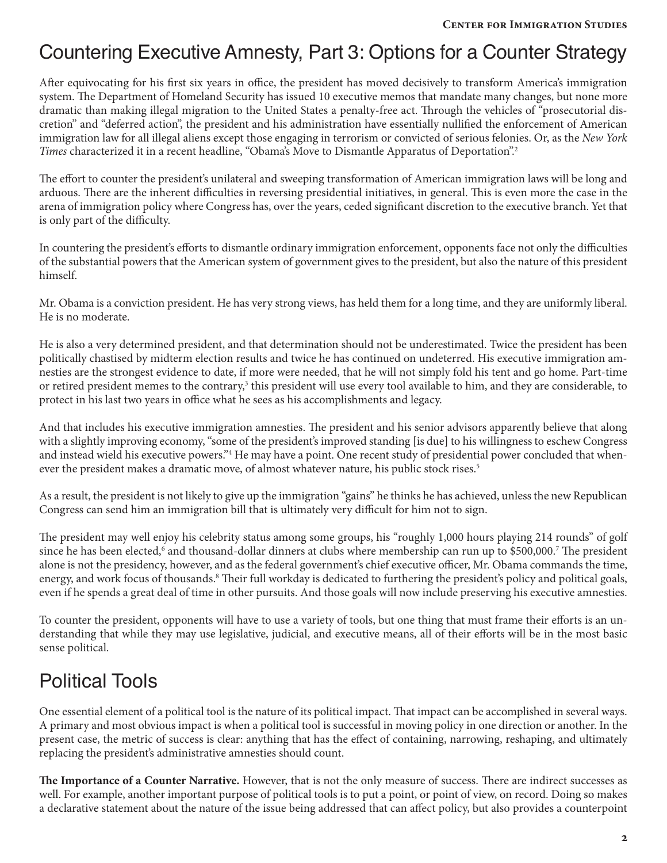## Countering Executive Amnesty, Part 3: Options for a Counter Strategy

After equivocating for his first six years in office, the president has moved decisively to transform America's immigration system. The Department of Homeland Security has issued 10 executive memos that mandate many changes, but none more dramatic than making illegal migration to the United States a penalty-free act. Through the vehicles of "prosecutorial discretion" and "deferred action", the president and his administration have essentially nullified the enforcement of American immigration law for all illegal aliens except those engaging in terrorism or convicted of serious felonies. Or, as the *New York Times* characterized it in a recent headline, "Obama's Move to Dismantle Apparatus of Deportation".2

The effort to counter the president's unilateral and sweeping transformation of American immigration laws will be long and arduous. There are the inherent difficulties in reversing presidential initiatives, in general. This is even more the case in the arena of immigration policy where Congress has, over the years, ceded significant discretion to the executive branch. Yet that is only part of the difficulty.

In countering the president's efforts to dismantle ordinary immigration enforcement, opponents face not only the difficulties of the substantial powers that the American system of government gives to the president, but also the nature of this president himself.

Mr. Obama is a conviction president. He has very strong views, has held them for a long time, and they are uniformly liberal. He is no moderate.

He is also a very determined president, and that determination should not be underestimated. Twice the president has been politically chastised by midterm election results and twice he has continued on undeterred. His executive immigration amnesties are the strongest evidence to date, if more were needed, that he will not simply fold his tent and go home. Part-time or retired president memes to the contrary,<sup>3</sup> this president will use every tool available to him, and they are considerable, to protect in his last two years in office what he sees as his accomplishments and legacy.

And that includes his executive immigration amnesties. The president and his senior advisors apparently believe that along with a slightly improving economy, "some of the president's improved standing [is due] to his willingness to eschew Congress and instead wield his executive powers."<sup>4</sup> He may have a point. One recent study of presidential power concluded that whenever the president makes a dramatic move, of almost whatever nature, his public stock rises.<sup>5</sup>

As a result, the president is not likely to give up the immigration "gains" he thinks he has achieved, unless the new Republican Congress can send him an immigration bill that is ultimately very difficult for him not to sign.

The president may well enjoy his celebrity status among some groups, his "roughly 1,000 hours playing 214 rounds" of golf since he has been elected,<sup>6</sup> and thousand-dollar dinners at clubs where membership can run up to \$500,000.<sup>7</sup> The president alone is not the presidency, however, and as the federal government's chief executive officer, Mr. Obama commands the time, energy, and work focus of thousands.<sup>8</sup> Their full workday is dedicated to furthering the president's policy and political goals, even if he spends a great deal of time in other pursuits. And those goals will now include preserving his executive amnesties.

To counter the president, opponents will have to use a variety of tools, but one thing that must frame their efforts is an understanding that while they may use legislative, judicial, and executive means, all of their efforts will be in the most basic sense political.

# Political Tools

One essential element of a political tool is the nature of its political impact. That impact can be accomplished in several ways. A primary and most obvious impact is when a political tool is successful in moving policy in one direction or another. In the present case, the metric of success is clear: anything that has the effect of containing, narrowing, reshaping, and ultimately replacing the president's administrative amnesties should count.

**The Importance of a Counter Narrative.** However, that is not the only measure of success. There are indirect successes as well. For example, another important purpose of political tools is to put a point, or point of view, on record. Doing so makes a declarative statement about the nature of the issue being addressed that can affect policy, but also provides a counterpoint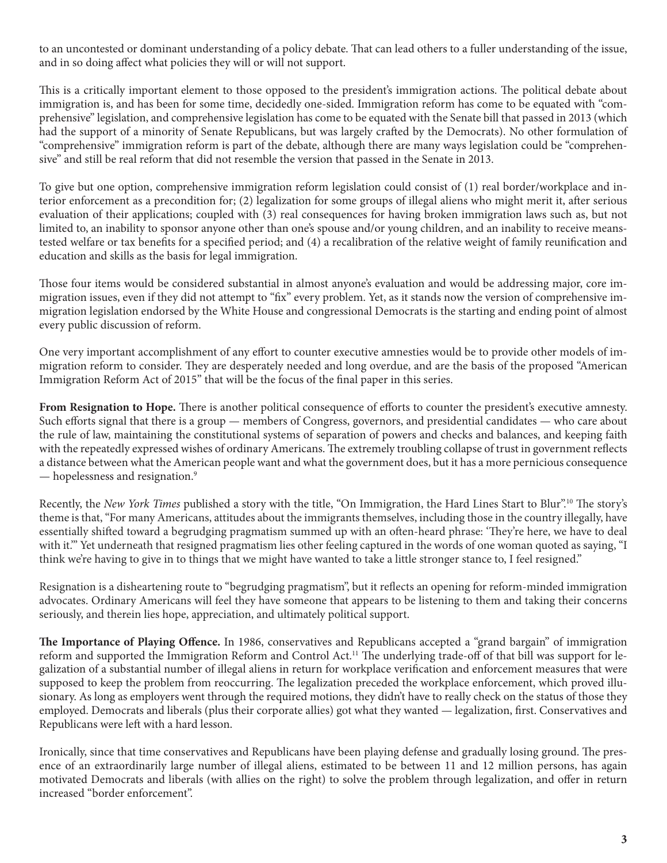to an uncontested or dominant understanding of a policy debate. That can lead others to a fuller understanding of the issue, and in so doing affect what policies they will or will not support.

This is a critically important element to those opposed to the president's immigration actions. The political debate about immigration is, and has been for some time, decidedly one-sided. Immigration reform has come to be equated with "comprehensive" legislation, and comprehensive legislation has come to be equated with the Senate bill that passed in 2013 (which had the support of a minority of Senate Republicans, but was largely crafted by the Democrats). No other formulation of "comprehensive" immigration reform is part of the debate, although there are many ways legislation could be "comprehensive" and still be real reform that did not resemble the version that passed in the Senate in 2013.

To give but one option, comprehensive immigration reform legislation could consist of (1) real border/workplace and interior enforcement as a precondition for; (2) legalization for some groups of illegal aliens who might merit it, after serious evaluation of their applications; coupled with (3) real consequences for having broken immigration laws such as, but not limited to, an inability to sponsor anyone other than one's spouse and/or young children, and an inability to receive meanstested welfare or tax benefits for a specified period; and (4) a recalibration of the relative weight of family reunification and education and skills as the basis for legal immigration.

Those four items would be considered substantial in almost anyone's evaluation and would be addressing major, core immigration issues, even if they did not attempt to "fix" every problem. Yet, as it stands now the version of comprehensive immigration legislation endorsed by the White House and congressional Democrats is the starting and ending point of almost every public discussion of reform.

One very important accomplishment of any effort to counter executive amnesties would be to provide other models of immigration reform to consider. They are desperately needed and long overdue, and are the basis of the proposed "American Immigration Reform Act of 2015" that will be the focus of the final paper in this series.

**From Resignation to Hope.** There is another political consequence of efforts to counter the president's executive amnesty. Such efforts signal that there is a group — members of Congress, governors, and presidential candidates — who care about the rule of law, maintaining the constitutional systems of separation of powers and checks and balances, and keeping faith with the repeatedly expressed wishes of ordinary Americans. The extremely troubling collapse of trust in government reflects a distance between what the American people want and what the government does, but it has a more pernicious consequence — hopelessness and resignation.9

Recently, the *New York Times* published a story with the title, "On Immigration, the Hard Lines Start to Blur".10 The story's theme is that, "For many Americans, attitudes about the immigrants themselves, including those in the country illegally, have essentially shifted toward a begrudging pragmatism summed up with an often-heard phrase: 'They're here, we have to deal with it.'" Yet underneath that resigned pragmatism lies other feeling captured in the words of one woman quoted as saying, "I think we're having to give in to things that we might have wanted to take a little stronger stance to, I feel resigned."

Resignation is a disheartening route to "begrudging pragmatism", but it reflects an opening for reform-minded immigration advocates. Ordinary Americans will feel they have someone that appears to be listening to them and taking their concerns seriously, and therein lies hope, appreciation, and ultimately political support.

**The Importance of Playing Offence.** In 1986, conservatives and Republicans accepted a "grand bargain" of immigration reform and supported the Immigration Reform and Control Act.<sup>11</sup> The underlying trade-off of that bill was support for legalization of a substantial number of illegal aliens in return for workplace verification and enforcement measures that were supposed to keep the problem from reoccurring. The legalization preceded the workplace enforcement, which proved illusionary. As long as employers went through the required motions, they didn't have to really check on the status of those they employed. Democrats and liberals (plus their corporate allies) got what they wanted — legalization, first. Conservatives and Republicans were left with a hard lesson.

Ironically, since that time conservatives and Republicans have been playing defense and gradually losing ground. The presence of an extraordinarily large number of illegal aliens, estimated to be between 11 and 12 million persons, has again motivated Democrats and liberals (with allies on the right) to solve the problem through legalization, and offer in return increased "border enforcement".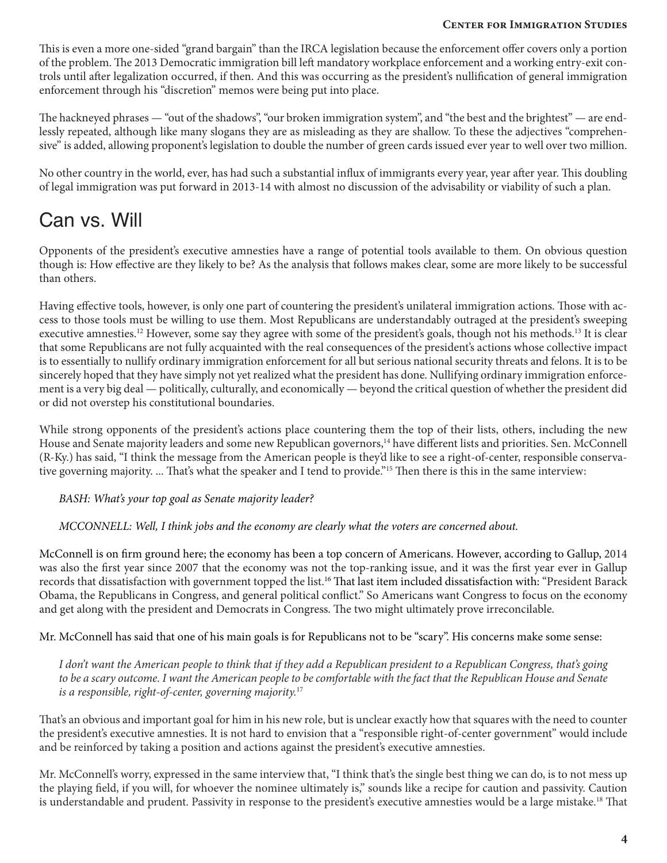This is even a more one-sided "grand bargain" than the IRCA legislation because the enforcement offer covers only a portion of the problem. The 2013 Democratic immigration bill left mandatory workplace enforcement and a working entry-exit controls until after legalization occurred, if then. And this was occurring as the president's nullification of general immigration enforcement through his "discretion" memos were being put into place.

The hackneyed phrases — "out of the shadows", "our broken immigration system", and "the best and the brightest" — are endlessly repeated, although like many slogans they are as misleading as they are shallow. To these the adjectives "comprehensive" is added, allowing proponent's legislation to double the number of green cards issued ever year to well over two million.

No other country in the world, ever, has had such a substantial influx of immigrants every year, year after year. This doubling of legal immigration was put forward in 2013-14 with almost no discussion of the advisability or viability of such a plan.

## Can vs. Will

Opponents of the president's executive amnesties have a range of potential tools available to them. On obvious question though is: How effective are they likely to be? As the analysis that follows makes clear, some are more likely to be successful than others.

Having effective tools, however, is only one part of countering the president's unilateral immigration actions. Those with access to those tools must be willing to use them. Most Republicans are understandably outraged at the president's sweeping executive amnesties.<sup>12</sup> However, some say they agree with some of the president's goals, though not his methods.<sup>13</sup> It is clear that some Republicans are not fully acquainted with the real consequences of the president's actions whose collective impact is to essentially to nullify ordinary immigration enforcement for all but serious national security threats and felons. It is to be sincerely hoped that they have simply not yet realized what the president has done. Nullifying ordinary immigration enforcement is a very big deal — politically, culturally, and economically — beyond the critical question of whether the president did or did not overstep his constitutional boundaries.

While strong opponents of the president's actions place countering them the top of their lists, others, including the new House and Senate majority leaders and some new Republican governors,<sup>14</sup> have different lists and priorities. Sen. McConnell (R-Ky.) has said, "I think the message from the American people is they'd like to see a right-of-center, responsible conservative governing majority. ... That's what the speaker and I tend to provide."15 Then there is this in the same interview:

*BASH: What's your top goal as Senate majority leader?*

*MCCONNELL: Well, I think jobs and the economy are clearly what the voters are concerned about.*

McConnell is on firm ground here; the economy has been a top concern of Americans. However, according to Gallup, 2014 was also the first year since 2007 that the economy was not the top-ranking issue, and it was the first year ever in Gallup records that dissatisfaction with government topped the list.16 That last item included dissatisfaction with: "President Barack Obama, the Republicans in Congress, and general political conflict." So Americans want Congress to focus on the economy and get along with the president and Democrats in Congress. The two might ultimately prove irreconcilable.

Mr. McConnell has said that one of his main goals is for Republicans not to be "scary". His concerns make some sense:

*I don't want the American people to think that if they add a Republican president to a Republican Congress, that's going to be a scary outcome. I want the American people to be comfortable with the fact that the Republican House and Senate is a responsible, right-of-center, governing majority.*<sup>17</sup>

That's an obvious and important goal for him in his new role, but is unclear exactly how that squares with the need to counter the president's executive amnesties. It is not hard to envision that a "responsible right-of-center government" would include and be reinforced by taking a position and actions against the president's executive amnesties.

Mr. McConnell's worry, expressed in the same interview that, "I think that's the single best thing we can do, is to not mess up the playing field, if you will, for whoever the nominee ultimately is," sounds like a recipe for caution and passivity. Caution is understandable and prudent. Passivity in response to the president's executive amnesties would be a large mistake.<sup>18</sup> That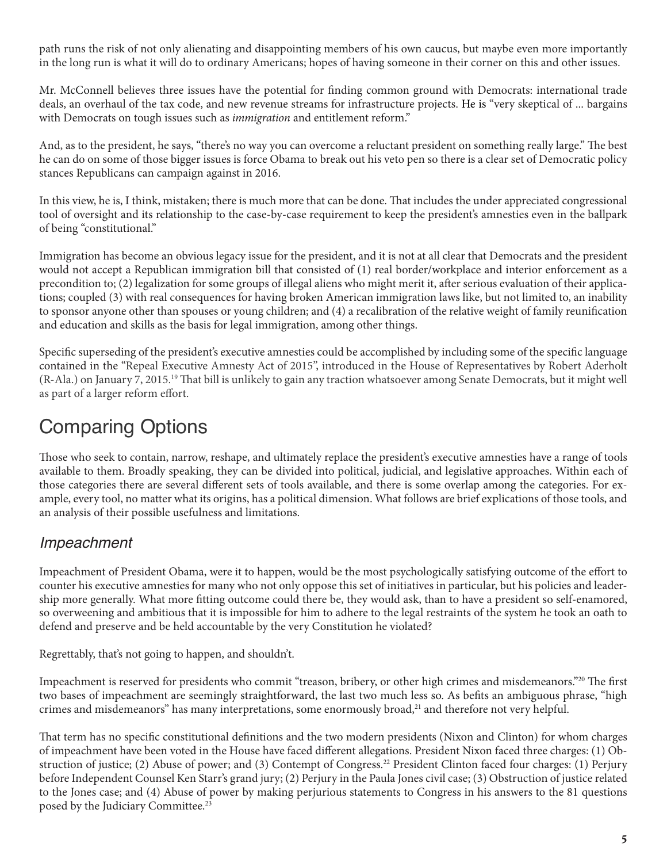path runs the risk of not only alienating and disappointing members of his own caucus, but maybe even more importantly in the long run is what it will do to ordinary Americans; hopes of having someone in their corner on this and other issues.

Mr. McConnell believes three issues have the potential for finding common ground with Democrats: international trade deals, an overhaul of the tax code, and new revenue streams for infrastructure projects. He is "very skeptical of ... bargains with Democrats on tough issues such as *immigration* and entitlement reform."

And, as to the president, he says, "there's no way you can overcome a reluctant president on something really large." The best he can do on some of those bigger issues is force Obama to break out his veto pen so there is a clear set of Democratic policy stances Republicans can campaign against in 2016.

In this view, he is, I think, mistaken; there is much more that can be done. That includes the under appreciated congressional tool of oversight and its relationship to the case-by-case requirement to keep the president's amnesties even in the ballpark of being "constitutional."

Immigration has become an obvious legacy issue for the president, and it is not at all clear that Democrats and the president would not accept a Republican immigration bill that consisted of (1) real border/workplace and interior enforcement as a precondition to; (2) legalization for some groups of illegal aliens who might merit it, after serious evaluation of their applications; coupled (3) with real consequences for having broken American immigration laws like, but not limited to, an inability to sponsor anyone other than spouses or young children; and (4) a recalibration of the relative weight of family reunification and education and skills as the basis for legal immigration, among other things.

Specific superseding of the president's executive amnesties could be accomplished by including some of the specific language contained in the "Repeal Executive Amnesty Act of 2015", introduced in the House of Representatives by Robert Aderholt (R-Ala.) on January 7, 2015.19 That bill is unlikely to gain any traction whatsoever among Senate Democrats, but it might well as part of a larger reform effort.

# Comparing Options

Those who seek to contain, narrow, reshape, and ultimately replace the president's executive amnesties have a range of tools available to them. Broadly speaking, they can be divided into political, judicial, and legislative approaches. Within each of those categories there are several different sets of tools available, and there is some overlap among the categories. For example, every tool, no matter what its origins, has a political dimension. What follows are brief explications of those tools, and an analysis of their possible usefulness and limitations.

## Impeachment

Impeachment of President Obama, were it to happen, would be the most psychologically satisfying outcome of the effort to counter his executive amnesties for many who not only oppose this set of initiatives in particular, but his policies and leadership more generally. What more fitting outcome could there be, they would ask, than to have a president so self-enamored, so overweening and ambitious that it is impossible for him to adhere to the legal restraints of the system he took an oath to defend and preserve and be held accountable by the very Constitution he violated?

Regrettably, that's not going to happen, and shouldn't.

Impeachment is reserved for presidents who commit "treason, bribery, or other high crimes and misdemeanors."20 The first two bases of impeachment are seemingly straightforward, the last two much less so. As befits an ambiguous phrase, "high crimes and misdemeanors" has many interpretations, some enormously broad, $2<sup>1</sup>$  and therefore not very helpful.

That term has no specific constitutional definitions and the two modern presidents (Nixon and Clinton) for whom charges of impeachment have been voted in the House have faced different allegations. President Nixon faced three charges: (1) Obstruction of justice; (2) Abuse of power; and (3) Contempt of Congress.<sup>22</sup> President Clinton faced four charges: (1) Perjury before Independent Counsel Ken Starr's grand jury; (2) Perjury in the Paula Jones civil case; (3) Obstruction of justice related to the Jones case; and (4) Abuse of power by making perjurious statements to Congress in his answers to the 81 questions posed by the Judiciary Committee.<sup>23</sup>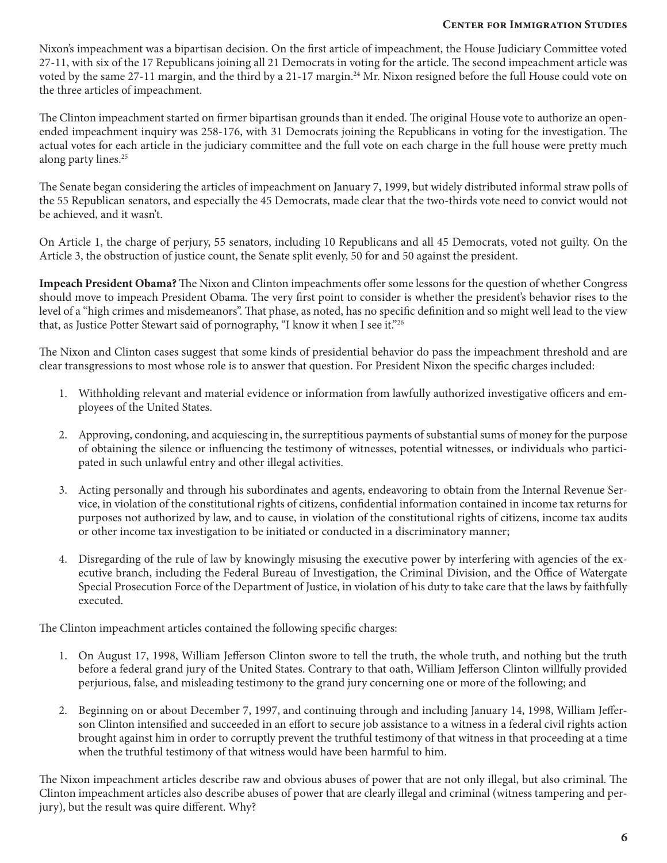Nixon's impeachment was a bipartisan decision. On the first article of impeachment, the House Judiciary Committee voted 27-11, with six of the 17 Republicans joining all 21 Democrats in voting for the article. The second impeachment article was voted by the same 27-11 margin, and the third by a 21-17 margin.<sup>24</sup> Mr. Nixon resigned before the full House could vote on the three articles of impeachment.

The Clinton impeachment started on firmer bipartisan grounds than it ended. The original House vote to authorize an openended impeachment inquiry was 258-176, with 31 Democrats joining the Republicans in voting for the investigation. The actual votes for each article in the judiciary committee and the full vote on each charge in the full house were pretty much along party lines.<sup>25</sup>

The Senate began considering the articles of impeachment on January 7, 1999, but widely distributed informal straw polls of the 55 Republican senators, and especially the 45 Democrats, made clear that the two-thirds vote need to convict would not be achieved, and it wasn't.

On Article 1, the charge of perjury, 55 senators, including 10 Republicans and all 45 Democrats, voted not guilty. On the Article 3, the obstruction of justice count, the Senate split evenly, 50 for and 50 against the president.

**Impeach President Obama?** The Nixon and Clinton impeachments offer some lessons for the question of whether Congress should move to impeach President Obama. The very first point to consider is whether the president's behavior rises to the level of a "high crimes and misdemeanors". That phase, as noted, has no specific definition and so might well lead to the view that, as Justice Potter Stewart said of pornography, "I know it when I see it."26

The Nixon and Clinton cases suggest that some kinds of presidential behavior do pass the impeachment threshold and are clear transgressions to most whose role is to answer that question. For President Nixon the specific charges included:

- 1. Withholding relevant and material evidence or information from lawfully authorized investigative officers and employees of the United States.
- 2. Approving, condoning, and acquiescing in, the surreptitious payments of substantial sums of money for the purpose of obtaining the silence or influencing the testimony of witnesses, potential witnesses, or individuals who participated in such unlawful entry and other illegal activities.
- 3. Acting personally and through his subordinates and agents, endeavoring to obtain from the Internal Revenue Service, in violation of the constitutional rights of citizens, confidential information contained in income tax returns for purposes not authorized by law, and to cause, in violation of the constitutional rights of citizens, income tax audits or other income tax investigation to be initiated or conducted in a discriminatory manner;
- 4. Disregarding of the rule of law by knowingly misusing the executive power by interfering with agencies of the executive branch, including the Federal Bureau of Investigation, the Criminal Division, and the Office of Watergate Special Prosecution Force of the Department of Justice, in violation of his duty to take care that the laws by faithfully executed.

The Clinton impeachment articles contained the following specific charges:

- 1. On August 17, 1998, William Jefferson Clinton swore to tell the truth, the whole truth, and nothing but the truth before a federal grand jury of the United States. Contrary to that oath, William Jefferson Clinton willfully provided perjurious, false, and misleading testimony to the grand jury concerning one or more of the following; and
- 2. Beginning on or about December 7, 1997, and continuing through and including January 14, 1998, William Jefferson Clinton intensified and succeeded in an effort to secure job assistance to a witness in a federal civil rights action brought against him in order to corruptly prevent the truthful testimony of that witness in that proceeding at a time when the truthful testimony of that witness would have been harmful to him.

The Nixon impeachment articles describe raw and obvious abuses of power that are not only illegal, but also criminal. The Clinton impeachment articles also describe abuses of power that are clearly illegal and criminal (witness tampering and perjury), but the result was quire different. Why?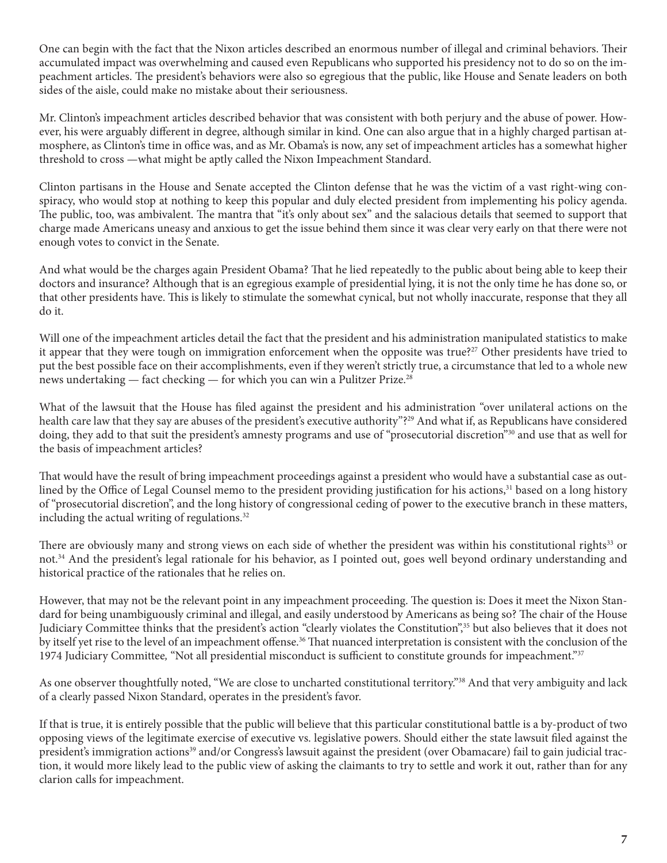One can begin with the fact that the Nixon articles described an enormous number of illegal and criminal behaviors. Their accumulated impact was overwhelming and caused even Republicans who supported his presidency not to do so on the impeachment articles. The president's behaviors were also so egregious that the public, like House and Senate leaders on both sides of the aisle, could make no mistake about their seriousness.

Mr. Clinton's impeachment articles described behavior that was consistent with both perjury and the abuse of power. However, his were arguably different in degree, although similar in kind. One can also argue that in a highly charged partisan atmosphere, as Clinton's time in office was, and as Mr. Obama's is now, any set of impeachment articles has a somewhat higher threshold to cross —what might be aptly called the Nixon Impeachment Standard.

Clinton partisans in the House and Senate accepted the Clinton defense that he was the victim of a vast right-wing conspiracy, who would stop at nothing to keep this popular and duly elected president from implementing his policy agenda. The public, too, was ambivalent. The mantra that "it's only about sex" and the salacious details that seemed to support that charge made Americans uneasy and anxious to get the issue behind them since it was clear very early on that there were not enough votes to convict in the Senate.

And what would be the charges again President Obama? That he lied repeatedly to the public about being able to keep their doctors and insurance? Although that is an egregious example of presidential lying, it is not the only time he has done so, or that other presidents have. This is likely to stimulate the somewhat cynical, but not wholly inaccurate, response that they all do it.

Will one of the impeachment articles detail the fact that the president and his administration manipulated statistics to make it appear that they were tough on immigration enforcement when the opposite was true?<sup>27</sup> Other presidents have tried to put the best possible face on their accomplishments, even if they weren't strictly true, a circumstance that led to a whole new news undertaking — fact checking — for which you can win a Pulitzer Prize.28

What of the lawsuit that the House has filed against the president and his administration "over unilateral actions on the health care law that they say are abuses of the president's executive authority"?<sup>29</sup> And what if, as Republicans have considered doing, they add to that suit the president's amnesty programs and use of "prosecutorial discretion"30 and use that as well for the basis of impeachment articles?

That would have the result of bring impeachment proceedings against a president who would have a substantial case as outlined by the Office of Legal Counsel memo to the president providing justification for his actions,<sup>31</sup> based on a long history of "prosecutorial discretion", and the long history of congressional ceding of power to the executive branch in these matters, including the actual writing of regulations.<sup>32</sup>

There are obviously many and strong views on each side of whether the president was within his constitutional rights<sup>33</sup> or not.34 And the president's legal rationale for his behavior, as I pointed out, goes well beyond ordinary understanding and historical practice of the rationales that he relies on.

However, that may not be the relevant point in any impeachment proceeding. The question is: Does it meet the Nixon Standard for being unambiguously criminal and illegal, and easily understood by Americans as being so? The chair of the House Judiciary Committee thinks that the president's action "clearly violates the Constitution",35 but also believes that it does not by itself yet rise to the level of an impeachment offense.<sup>36</sup> That nuanced interpretation is consistent with the conclusion of the 1974 Judiciary Committee*,* "Not all presidential misconduct is sufficient to constitute grounds for impeachment."37

As one observer thoughtfully noted, "We are close to uncharted constitutional territory."<sup>38</sup> And that very ambiguity and lack of a clearly passed Nixon Standard, operates in the president's favor.

If that is true, it is entirely possible that the public will believe that this particular constitutional battle is a by-product of two opposing views of the legitimate exercise of executive vs. legislative powers. Should either the state lawsuit filed against the president's immigration actions<sup>39</sup> and/or Congress's lawsuit against the president (over Obamacare) fail to gain judicial traction, it would more likely lead to the public view of asking the claimants to try to settle and work it out, rather than for any clarion calls for impeachment.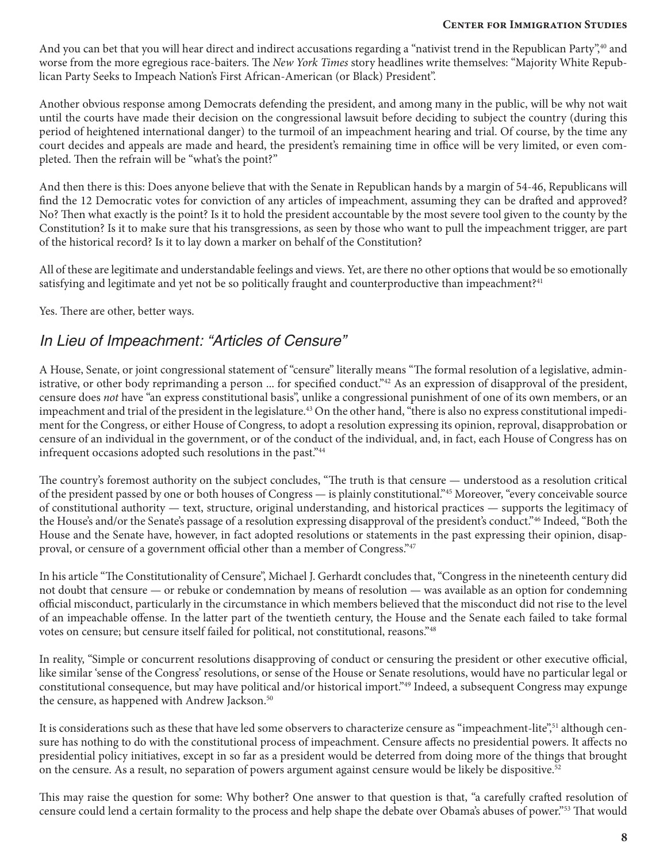And you can bet that you will hear direct and indirect accusations regarding a "nativist trend in the Republican Party",<sup>40</sup> and worse from the more egregious race-baiters. The *New York Times* story headlines write themselves: "Majority White Republican Party Seeks to Impeach Nation's First African-American (or Black) President".

Another obvious response among Democrats defending the president, and among many in the public, will be why not wait until the courts have made their decision on the congressional lawsuit before deciding to subject the country (during this period of heightened international danger) to the turmoil of an impeachment hearing and trial. Of course, by the time any court decides and appeals are made and heard, the president's remaining time in office will be very limited, or even completed. Then the refrain will be "what's the point?"

And then there is this: Does anyone believe that with the Senate in Republican hands by a margin of 54-46, Republicans will find the 12 Democratic votes for conviction of any articles of impeachment, assuming they can be drafted and approved? No? Then what exactly is the point? Is it to hold the president accountable by the most severe tool given to the county by the Constitution? Is it to make sure that his transgressions, as seen by those who want to pull the impeachment trigger, are part of the historical record? Is it to lay down a marker on behalf of the Constitution?

All of these are legitimate and understandable feelings and views. Yet, are there no other options that would be so emotionally satisfying and legitimate and yet not be so politically fraught and counterproductive than impeachment?<sup>41</sup>

Yes. There are other, better ways.

### In Lieu of Impeachment: "Articles of Censure"

A House, Senate, or joint congressional statement of "censure" literally means "The formal resolution of a legislative, administrative, or other body reprimanding a person ... for specified conduct."<sup>42</sup> As an expression of disapproval of the president, censure does *not* have "an express constitutional basis", unlike a congressional punishment of one of its own members, or an impeachment and trial of the president in the legislature.<sup>43</sup> On the other hand, "there is also no express constitutional impediment for the Congress, or either House of Congress, to adopt a resolution expressing its opinion, reproval, disapprobation or censure of an individual in the government, or of the conduct of the individual, and, in fact, each House of Congress has on infrequent occasions adopted such resolutions in the past."<sup>44</sup>

The country's foremost authority on the subject concludes, "The truth is that censure — understood as a resolution critical of the president passed by one or both houses of Congress — is plainly constitutional."45 Moreover, "every conceivable source of constitutional authority — text, structure, original understanding, and historical practices — supports the legitimacy of the House's and/or the Senate's passage of a resolution expressing disapproval of the president's conduct."46 Indeed, "Both the House and the Senate have, however, in fact adopted resolutions or statements in the past expressing their opinion, disapproval, or censure of a government official other than a member of Congress."47

In his article "The Constitutionality of Censure", Michael J. Gerhardt concludes that, "Congress in the nineteenth century did not doubt that censure — or rebuke or condemnation by means of resolution — was available as an option for condemning official misconduct, particularly in the circumstance in which members believed that the misconduct did not rise to the level of an impeachable offense. In the latter part of the twentieth century, the House and the Senate each failed to take formal votes on censure; but censure itself failed for political, not constitutional, reasons."48

In reality, "Simple or concurrent resolutions disapproving of conduct or censuring the president or other executive official, like similar 'sense of the Congress' resolutions, or sense of the House or Senate resolutions, would have no particular legal or constitutional consequence, but may have political and/or historical import."49 Indeed, a subsequent Congress may expunge the censure, as happened with Andrew Jackson.<sup>50</sup>

It is considerations such as these that have led some observers to characterize censure as "impeachment-lite",<sup>51</sup> although censure has nothing to do with the constitutional process of impeachment. Censure affects no presidential powers. It affects no presidential policy initiatives, except in so far as a president would be deterred from doing more of the things that brought on the censure. As a result, no separation of powers argument against censure would be likely be dispositive.52

This may raise the question for some: Why bother? One answer to that question is that, "a carefully crafted resolution of censure could lend a certain formality to the process and help shape the debate over Obama's abuses of power."53 That would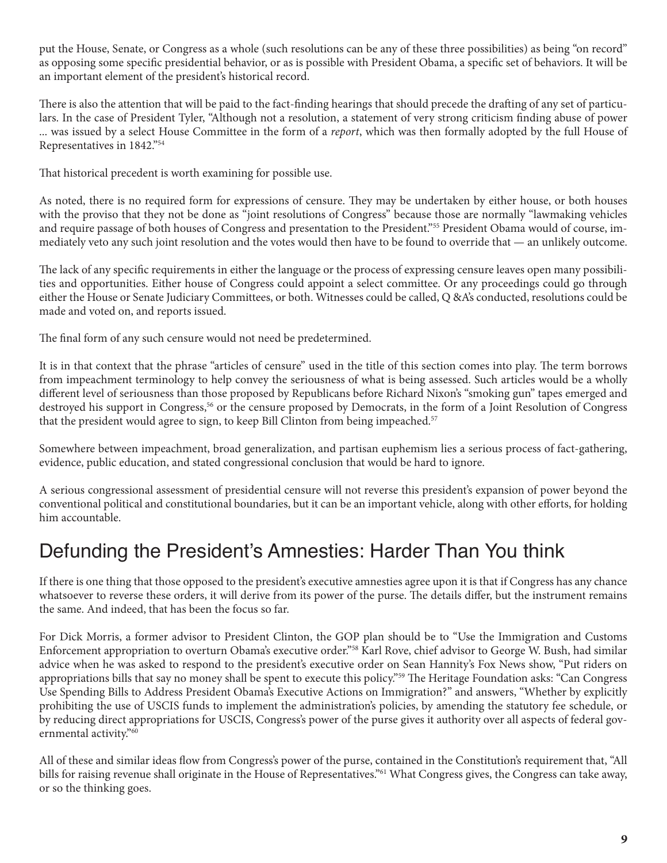put the House, Senate, or Congress as a whole (such resolutions can be any of these three possibilities) as being "on record" as opposing some specific presidential behavior, or as is possible with President Obama, a specific set of behaviors. It will be an important element of the president's historical record.

There is also the attention that will be paid to the fact-finding hearings that should precede the drafting of any set of particulars. In the case of President Tyler, "Although not a resolution, a statement of very strong criticism finding abuse of power ... was issued by a select House Committee in the form of a *report*, which was then formally adopted by the full House of Representatives in 1842."54

That historical precedent is worth examining for possible use.

As noted, there is no required form for expressions of censure. They may be undertaken by either house, or both houses with the proviso that they not be done as "joint resolutions of Congress" because those are normally "lawmaking vehicles and require passage of both houses of Congress and presentation to the President."55 President Obama would of course, immediately veto any such joint resolution and the votes would then have to be found to override that — an unlikely outcome.

The lack of any specific requirements in either the language or the process of expressing censure leaves open many possibilities and opportunities. Either house of Congress could appoint a select committee. Or any proceedings could go through either the House or Senate Judiciary Committees, or both. Witnesses could be called, Q &A's conducted, resolutions could be made and voted on, and reports issued.

The final form of any such censure would not need be predetermined.

It is in that context that the phrase "articles of censure" used in the title of this section comes into play. The term borrows from impeachment terminology to help convey the seriousness of what is being assessed. Such articles would be a wholly different level of seriousness than those proposed by Republicans before Richard Nixon's "smoking gun" tapes emerged and destroyed his support in Congress,<sup>56</sup> or the censure proposed by Democrats, in the form of a Joint Resolution of Congress that the president would agree to sign, to keep Bill Clinton from being impeached.<sup>57</sup>

Somewhere between impeachment, broad generalization, and partisan euphemism lies a serious process of fact-gathering, evidence, public education, and stated congressional conclusion that would be hard to ignore.

A serious congressional assessment of presidential censure will not reverse this president's expansion of power beyond the conventional political and constitutional boundaries, but it can be an important vehicle, along with other efforts, for holding him accountable.

## Defunding the President's Amnesties: Harder Than You think

If there is one thing that those opposed to the president's executive amnesties agree upon it is that if Congress has any chance whatsoever to reverse these orders, it will derive from its power of the purse. The details differ, but the instrument remains the same. And indeed, that has been the focus so far.

For Dick Morris, a former advisor to President Clinton, the GOP plan should be to "Use the Immigration and Customs Enforcement appropriation to overturn Obama's executive order."58 Karl Rove, chief advisor to George W. Bush, had similar advice when he was asked to respond to the president's executive order on Sean Hannity's Fox News show, "Put riders on appropriations bills that say no money shall be spent to execute this policy."59 The Heritage Foundation asks: "Can Congress Use Spending Bills to Address President Obama's Executive Actions on Immigration?" and answers, "Whether by explicitly prohibiting the use of USCIS funds to implement the administration's policies, by amending the statutory fee schedule, or by reducing direct appropriations for USCIS, Congress's power of the purse gives it authority over all aspects of federal governmental activity."60

All of these and similar ideas flow from Congress's power of the purse, contained in the Constitution's requirement that, "All bills for raising revenue shall originate in the House of Representatives.<sup>"61</sup> What Congress gives, the Congress can take away, or so the thinking goes.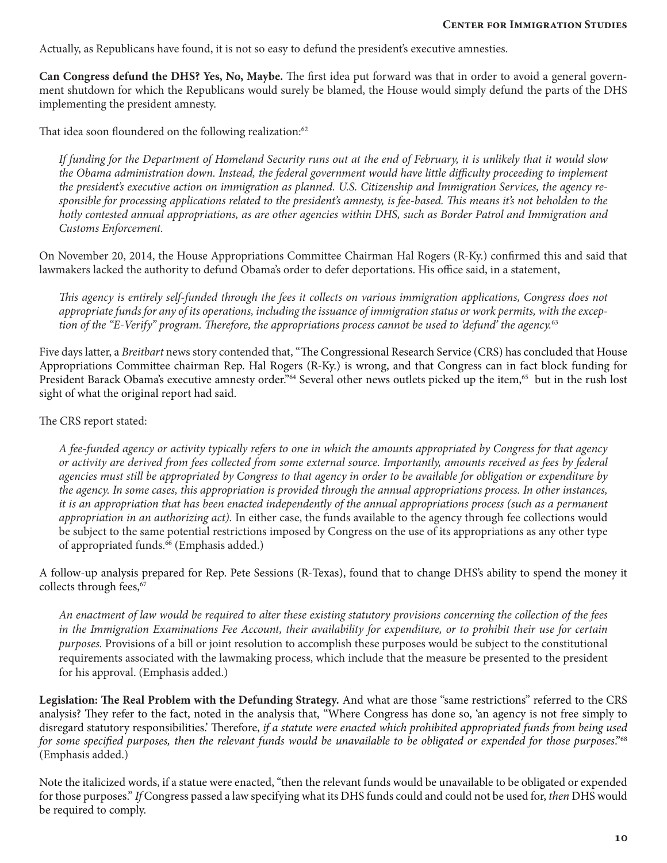Actually, as Republicans have found, it is not so easy to defund the president's executive amnesties.

**Can Congress defund the DHS? Yes, No, Maybe.** The first idea put forward was that in order to avoid a general government shutdown for which the Republicans would surely be blamed, the House would simply defund the parts of the DHS implementing the president amnesty.

That idea soon floundered on the following realization:<sup>62</sup>

*If funding for the Department of Homeland Security runs out at the end of February, it is unlikely that it would slow*  the Obama administration down. Instead, the federal government would have little difficulty proceeding to implement *the president's executive action on immigration as planned. U.S. Citizenship and Immigration Services, the agency responsible for processing applications related to the president's amnesty, is fee-based. This means it's not beholden to the hotly contested annual appropriations, as are other agencies within DHS, such as Border Patrol and Immigration and Customs Enforcement.*

On November 20, 2014, the House Appropriations Committee Chairman Hal Rogers (R-Ky.) confirmed this and said that lawmakers lacked the authority to defund Obama's order to defer deportations. His office said, in a statement,

*This agency is entirely self-funded through the fees it collects on various immigration applications, Congress does not appropriate funds for any of its operations, including the issuance of immigration status or work permits, with the exception of the "E-Verify" program. Therefore, the appropriations process cannot be used to 'defund' the agency.*<sup>63</sup>

Five days latter, a *Breitbart* news story contended that, "The Congressional Research Service (CRS) has concluded that House Appropriations Committee chairman Rep. Hal Rogers (R-Ky.) is wrong, and that Congress can in fact block funding for President Barack Obama's executive amnesty order."<sup>64</sup> Several other news outlets picked up the item,<sup>65</sup> but in the rush lost sight of what the original report had said.

The CRS report stated:

*A fee-funded agency or activity typically refers to one in which the amounts appropriated by Congress for that agency or activity are derived from fees collected from some external source. Importantly, amounts received as fees by federal agencies must still be appropriated by Congress to that agency in order to be available for obligation or expenditure by the agency. In some cases, this appropriation is provided through the annual appropriations process. In other instances, it is an appropriation that has been enacted independently of the annual appropriations process (such as a permanent appropriation in an authorizing act).* In either case, the funds available to the agency through fee collections would be subject to the same potential restrictions imposed by Congress on the use of its appropriations as any other type of appropriated funds.<sup>66</sup> (Emphasis added.)

A follow-up analysis prepared for Rep. Pete Sessions (R-Texas), found that to change DHS's ability to spend the money it collects through fees,<sup>67</sup>

*An enactment of law would be required to alter these existing statutory provisions concerning the collection of the fees in the Immigration Examinations Fee Account, their availability for expenditure, or to prohibit their use for certain purposes.* Provisions of a bill or joint resolution to accomplish these purposes would be subject to the constitutional requirements associated with the lawmaking process, which include that the measure be presented to the president for his approval. (Emphasis added.)

**Legislation: The Real Problem with the Defunding Strategy.** And what are those "same restrictions" referred to the CRS analysis? They refer to the fact, noted in the analysis that, "Where Congress has done so, 'an agency is not free simply to disregard statutory responsibilities.' Therefore, *if a statute were enacted which prohibited appropriated funds from being used for some specified purposes, then the relevant funds would be unavailable to be obligated or expended for those purposes*."68 (Emphasis added.)

Note the italicized words, if a statue were enacted, "then the relevant funds would be unavailable to be obligated or expended for those purposes." *If* Congress passed a law specifying what its DHS funds could and could not be used for, *then* DHS would be required to comply.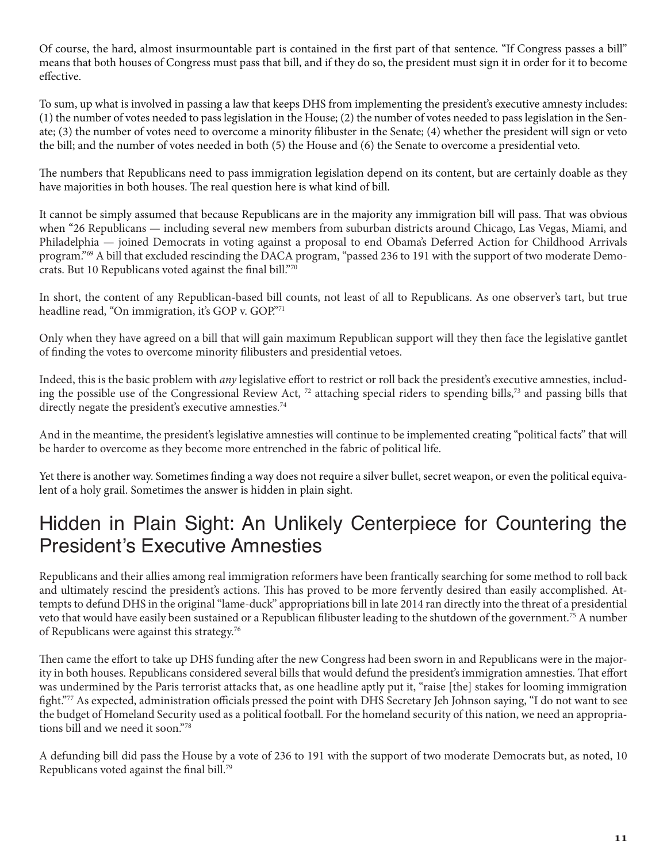Of course, the hard, almost insurmountable part is contained in the first part of that sentence. "If Congress passes a bill" means that both houses of Congress must pass that bill, and if they do so, the president must sign it in order for it to become effective.

To sum, up what is involved in passing a law that keeps DHS from implementing the president's executive amnesty includes: (1) the number of votes needed to pass legislation in the House; (2) the number of votes needed to pass legislation in the Senate; (3) the number of votes need to overcome a minority filibuster in the Senate; (4) whether the president will sign or veto the bill; and the number of votes needed in both (5) the House and (6) the Senate to overcome a presidential veto.

The numbers that Republicans need to pass immigration legislation depend on its content, but are certainly doable as they have majorities in both houses. The real question here is what kind of bill.

It cannot be simply assumed that because Republicans are in the majority any immigration bill will pass. That was obvious when "26 Republicans — including several new members from suburban districts around Chicago, Las Vegas, Miami, and Philadelphia — joined Democrats in voting against a proposal to end Obama's Deferred Action for Childhood Arrivals program."69 A bill that excluded rescinding the DACA program, "passed 236 to 191 with the support of two moderate Democrats. But 10 Republicans voted against the final bill."70

In short, the content of any Republican-based bill counts, not least of all to Republicans. As one observer's tart, but true headline read, "On immigration, it's GOP v. GOP."71

Only when they have agreed on a bill that will gain maximum Republican support will they then face the legislative gantlet of finding the votes to overcome minority filibusters and presidential vetoes.

Indeed, this is the basic problem with *any* legislative effort to restrict or roll back the president's executive amnesties, including the possible use of the Congressional Review Act, 72 attaching special riders to spending bills,73 and passing bills that directly negate the president's executive amnesties.<sup>74</sup>

And in the meantime, the president's legislative amnesties will continue to be implemented creating "political facts" that will be harder to overcome as they become more entrenched in the fabric of political life.

Yet there is another way. Sometimes finding a way does not require a silver bullet, secret weapon, or even the political equivalent of a holy grail. Sometimes the answer is hidden in plain sight.

## Hidden in Plain Sight: An Unlikely Centerpiece for Countering the President's Executive Amnesties

Republicans and their allies among real immigration reformers have been frantically searching for some method to roll back and ultimately rescind the president's actions. This has proved to be more fervently desired than easily accomplished. Attempts to defund DHS in the original "lame-duck" appropriations bill in late 2014 ran directly into the threat of a presidential veto that would have easily been sustained or a Republican filibuster leading to the shutdown of the government.75 A number of Republicans were against this strategy.76

Then came the effort to take up DHS funding after the new Congress had been sworn in and Republicans were in the majority in both houses. Republicans considered several bills that would defund the president's immigration amnesties. That effort was undermined by the Paris terrorist attacks that, as one headline aptly put it, "raise [the] stakes for looming immigration fight."77 As expected, administration officials pressed the point with DHS Secretary Jeh Johnson saying, "I do not want to see the budget of Homeland Security used as a political football. For the homeland security of this nation, we need an appropriations bill and we need it soon."78

A defunding bill did pass the House by a vote of 236 to 191 with the support of two moderate Democrats but, as noted, 10 Republicans voted against the final bill.79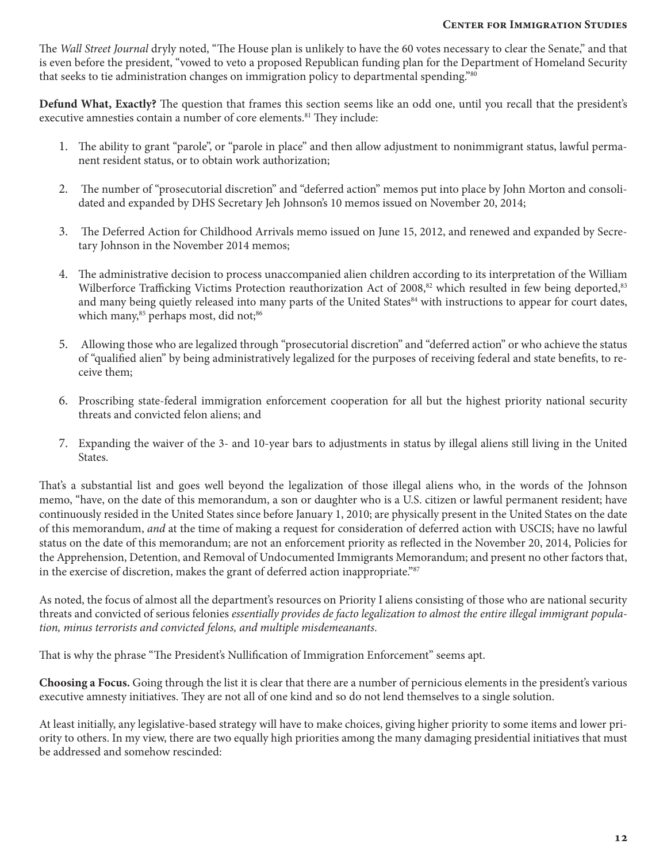The *Wall Street Journal* dryly noted, "The House plan is unlikely to have the 60 votes necessary to clear the Senate," and that is even before the president, "vowed to veto a proposed Republican funding plan for the Department of Homeland Security that seeks to tie administration changes on immigration policy to departmental spending."80

**Defund What, Exactly?** The question that frames this section seems like an odd one, until you recall that the president's executive amnesties contain a number of core elements.<sup>81</sup> They include:

- 1. The ability to grant "parole", or "parole in place" and then allow adjustment to nonimmigrant status, lawful permanent resident status, or to obtain work authorization;
- 2. The number of "prosecutorial discretion" and "deferred action" memos put into place by John Morton and consolidated and expanded by DHS Secretary Jeh Johnson's 10 memos issued on November 20, 2014;
- 3. The Deferred Action for Childhood Arrivals memo issued on June 15, 2012, and renewed and expanded by Secretary Johnson in the November 2014 memos;
- 4. The administrative decision to process unaccompanied alien children according to its interpretation of the William Wilberforce Trafficking Victims Protection reauthorization Act of 2008,<sup>82</sup> which resulted in few being deported,<sup>83</sup> and many being quietly released into many parts of the United States<sup>84</sup> with instructions to appear for court dates, which many,<sup>85</sup> perhaps most, did not;<sup>86</sup>
- 5. Allowing those who are legalized through "prosecutorial discretion" and "deferred action" or who achieve the status of "qualified alien" by being administratively legalized for the purposes of receiving federal and state benefits, to receive them;
- 6. Proscribing state-federal immigration enforcement cooperation for all but the highest priority national security threats and convicted felon aliens; and
- 7. Expanding the waiver of the 3- and 10-year bars to adjustments in status by illegal aliens still living in the United States.

That's a substantial list and goes well beyond the legalization of those illegal aliens who, in the words of the Johnson memo, "have, on the date of this memorandum, a son or daughter who is a U.S. citizen or lawful permanent resident; have continuously resided in the United States since before January 1, 2010; are physically present in the United States on the date of this memorandum, *and* at the time of making a request for consideration of deferred action with USCIS; have no lawful status on the date of this memorandum; are not an enforcement priority as reflected in the November 20, 2014, Policies for the Apprehension, Detention, and Removal of Undocumented Immigrants Memorandum; and present no other factors that, in the exercise of discretion, makes the grant of deferred action inappropriate."87

As noted, the focus of almost all the department's resources on Priority I aliens consisting of those who are national security threats and convicted of serious felonies *essentially provides de facto legalization to almost the entire illegal immigrant population, minus terrorists and convicted felons, and multiple misdemeanants*.

That is why the phrase "The President's Nullification of Immigration Enforcement" seems apt.

**Choosing a Focus.** Going through the list it is clear that there are a number of pernicious elements in the president's various executive amnesty initiatives. They are not all of one kind and so do not lend themselves to a single solution.

At least initially, any legislative-based strategy will have to make choices, giving higher priority to some items and lower priority to others. In my view, there are two equally high priorities among the many damaging presidential initiatives that must be addressed and somehow rescinded: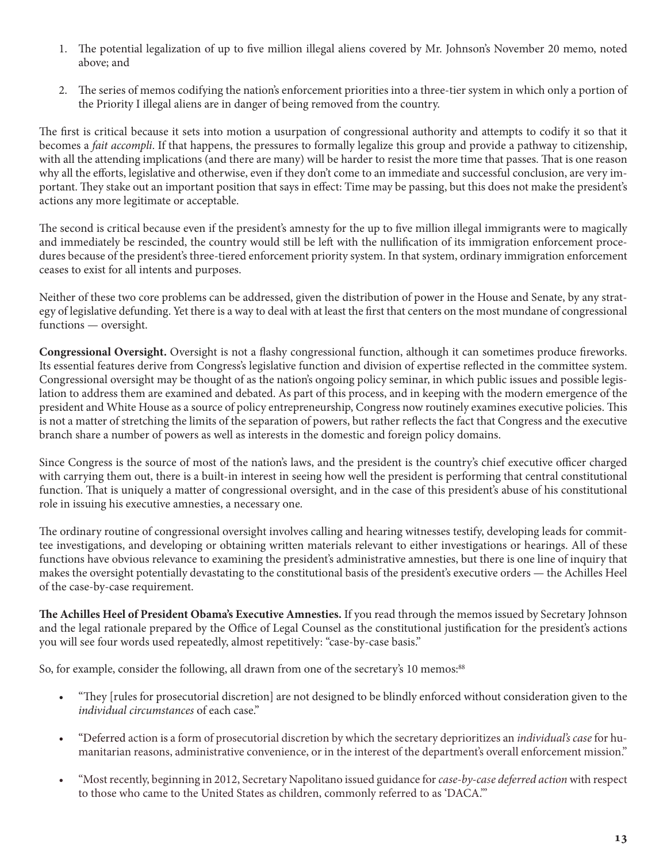- 1. The potential legalization of up to five million illegal aliens covered by Mr. Johnson's November 20 memo, noted above; and
- 2. The series of memos codifying the nation's enforcement priorities into a three-tier system in which only a portion of the Priority I illegal aliens are in danger of being removed from the country.

The first is critical because it sets into motion a usurpation of congressional authority and attempts to codify it so that it becomes a *fait accompli*. If that happens, the pressures to formally legalize this group and provide a pathway to citizenship, with all the attending implications (and there are many) will be harder to resist the more time that passes. That is one reason why all the efforts, legislative and otherwise, even if they don't come to an immediate and successful conclusion, are very important. They stake out an important position that says in effect: Time may be passing, but this does not make the president's actions any more legitimate or acceptable.

The second is critical because even if the president's amnesty for the up to five million illegal immigrants were to magically and immediately be rescinded, the country would still be left with the nullification of its immigration enforcement procedures because of the president's three-tiered enforcement priority system. In that system, ordinary immigration enforcement ceases to exist for all intents and purposes.

Neither of these two core problems can be addressed, given the distribution of power in the House and Senate, by any strategy of legislative defunding. Yet there is a way to deal with at least the first that centers on the most mundane of congressional functions — oversight.

**Congressional Oversight.** Oversight is not a flashy congressional function, although it can sometimes produce fireworks. Its essential features derive from Congress's legislative function and division of expertise reflected in the committee system. Congressional oversight may be thought of as the nation's ongoing policy seminar, in which public issues and possible legislation to address them are examined and debated. As part of this process, and in keeping with the modern emergence of the president and White House as a source of policy entrepreneurship, Congress now routinely examines executive policies. This is not a matter of stretching the limits of the separation of powers, but rather reflects the fact that Congress and the executive branch share a number of powers as well as interests in the domestic and foreign policy domains.

Since Congress is the source of most of the nation's laws, and the president is the country's chief executive officer charged with carrying them out, there is a built-in interest in seeing how well the president is performing that central constitutional function. That is uniquely a matter of congressional oversight, and in the case of this president's abuse of his constitutional role in issuing his executive amnesties, a necessary one.

The ordinary routine of congressional oversight involves calling and hearing witnesses testify, developing leads for committee investigations, and developing or obtaining written materials relevant to either investigations or hearings. All of these functions have obvious relevance to examining the president's administrative amnesties, but there is one line of inquiry that makes the oversight potentially devastating to the constitutional basis of the president's executive orders — the Achilles Heel of the case-by-case requirement.

**The Achilles Heel of President Obama's Executive Amnesties.** If you read through the memos issued by Secretary Johnson and the legal rationale prepared by the Office of Legal Counsel as the constitutional justification for the president's actions you will see four words used repeatedly, almost repetitively: "case-by-case basis."

So, for example, consider the following, all drawn from one of the secretary's 10 memos:<sup>88</sup>

- "They [rules for prosecutorial discretion] are not designed to be blindly enforced without consideration given to the *individual circumstances* of each case."
- "Deferred action is a form of prosecutorial discretion by which the secretary deprioritizes an *individual's case* for humanitarian reasons, administrative convenience, or in the interest of the department's overall enforcement mission."
- "Most recently, beginning in 2012, Secretary Napolitano issued guidance for *case-by-case deferred action* with respect to those who came to the United States as children, commonly referred to as 'DACA.'"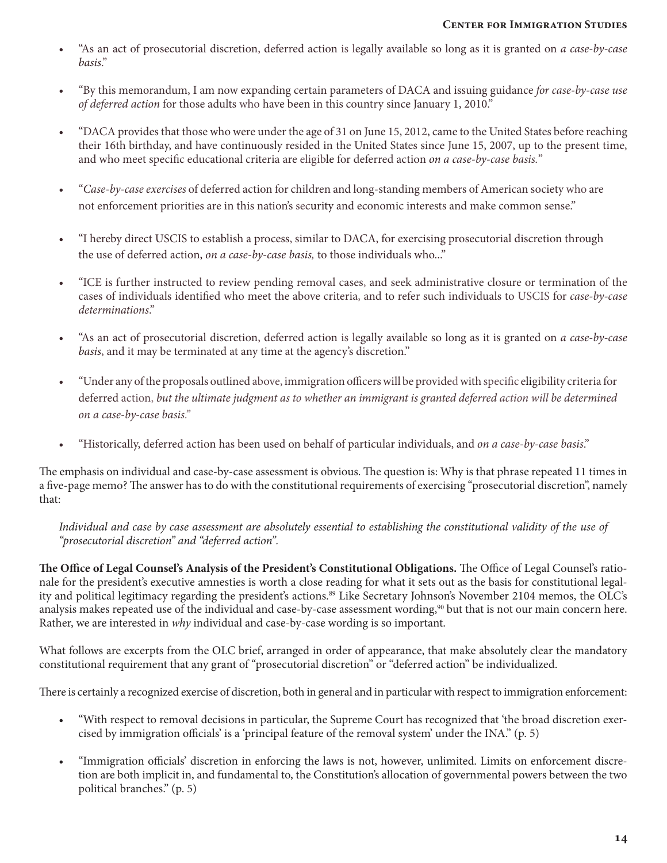- "As an act of prosecutorial discretion, deferred action is legally available so long as it is granted on *a case-by-case basis*."
- "By this memorandum, I am now expanding certain parameters of DACA and issuing guidance *for case-by-case use of deferred action* for those adults who have been in this country since January 1, 2010."
- "DACA provides that those who were under the age of 31 on June 15, 2012, came to the United States before reaching their 16th birthday, and have continuously resided in the United States since June 15, 2007, up to the present time, and who meet specific educational criteria are eligible for deferred action *on a case-by-case basis.*"
- "*Case-by-case exercises* of deferred action for children and long-standing members of American society who are not enforcement priorities are in this nation's security and economic interests and make common sense."
- "I hereby direct USCIS to establish a process, similar to DACA, for exercising prosecutorial discretion through the use of deferred action, *on a case-by-case basis,* to those individuals who..."
- "ICE is further instructed to review pending removal cases, and seek administrative closure or termination of the cases of individuals identified who meet the above criteria, and to refer such individuals to USCIS for *case-by-case determinations*."
- "As an act of prosecutorial discretion, deferred action is legally available so long as it is granted on *a case-by-case basis*, and it may be terminated at any time at the agency's discretion."
- "Under any of the proposals outlined above, immigration officers will be provided with specific eligibility criteria for deferred action, *but the ultimate judgment as to whether an immigrant is granted deferred action will be determined on a case-by-case basis."*
- "Historically, deferred action has been used on behalf of particular individuals, and *on a case-by-case basis*."

The emphasis on individual and case-by-case assessment is obvious. The question is: Why is that phrase repeated 11 times in a five-page memo? The answer has to do with the constitutional requirements of exercising "prosecutorial discretion", namely that:

*Individual and case by case assessment are absolutely essential to establishing the constitutional validity of the use of "prosecutorial discretion" and "deferred action".*

**The Office of Legal Counsel's Analysis of the President's Constitutional Obligations.** The Office of Legal Counsel's rationale for the president's executive amnesties is worth a close reading for what it sets out as the basis for constitutional legality and political legitimacy regarding the president's actions.<sup>89</sup> Like Secretary Johnson's November 2104 memos, the OLC's analysis makes repeated use of the individual and case-by-case assessment wording,<sup>90</sup> but that is not our main concern here. Rather, we are interested in *why* individual and case-by-case wording is so important.

What follows are excerpts from the OLC brief, arranged in order of appearance, that make absolutely clear the mandatory constitutional requirement that any grant of "prosecutorial discretion" or "deferred action" be individualized.

There is certainly a recognized exercise of discretion, both in general and in particular with respect to immigration enforcement:

- "With respect to removal decisions in particular, the Supreme Court has recognized that 'the broad discretion exercised by immigration officials' is a 'principal feature of the removal system' under the INA." (p. 5)
- "Immigration officials' discretion in enforcing the laws is not, however, unlimited. Limits on enforcement discretion are both implicit in, and fundamental to, the Constitution's allocation of governmental powers between the two political branches." (p. 5)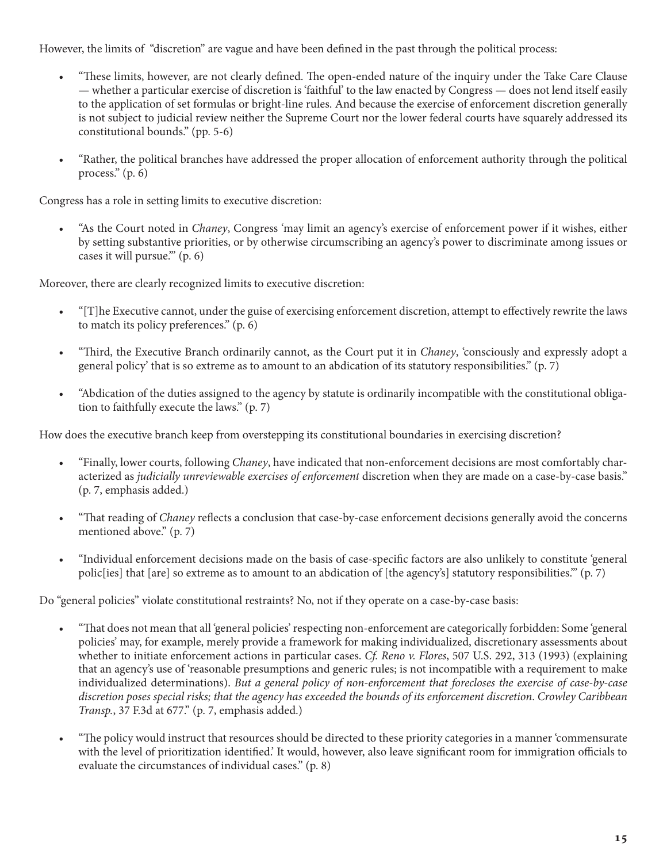However, the limits of "discretion" are vague and have been defined in the past through the political process:

- "These limits, however, are not clearly defined. The open-ended nature of the inquiry under the Take Care Clause — whether a particular exercise of discretion is 'faithful' to the law enacted by Congress — does not lend itself easily to the application of set formulas or bright-line rules. And because the exercise of enforcement discretion generally is not subject to judicial review neither the Supreme Court nor the lower federal courts have squarely addressed its constitutional bounds." (pp. 5-6)
- "Rather, the political branches have addressed the proper allocation of enforcement authority through the political process." (p. 6)

Congress has a role in setting limits to executive discretion:

• "As the Court noted in *Chaney*, Congress 'may limit an agency's exercise of enforcement power if it wishes, either by setting substantive priorities, or by otherwise circumscribing an agency's power to discriminate among issues or cases it will pursue.'" (p. 6)

Moreover, there are clearly recognized limits to executive discretion:

- "[T]he Executive cannot, under the guise of exercising enforcement discretion, attempt to effectively rewrite the laws to match its policy preferences." (p. 6)
- "Third, the Executive Branch ordinarily cannot, as the Court put it in *Chaney*, 'consciously and expressly adopt a general policy' that is so extreme as to amount to an abdication of its statutory responsibilities." (p. 7)
- "Abdication of the duties assigned to the agency by statute is ordinarily incompatible with the constitutional obligation to faithfully execute the laws." (p. 7)

How does the executive branch keep from overstepping its constitutional boundaries in exercising discretion?

- "Finally, lower courts, following *Chaney*, have indicated that non-enforcement decisions are most comfortably characterized as *judicially unreviewable exercises of enforcement* discretion when they are made on a case-by-case basis." (p. 7, emphasis added.)
- "That reading of *Chaney* reflects a conclusion that case-by-case enforcement decisions generally avoid the concerns mentioned above." (p. 7)
- "Individual enforcement decisions made on the basis of case-specific factors are also unlikely to constitute 'general polic[ies] that [are] so extreme as to amount to an abdication of [the agency's] statutory responsibilities." (p. 7)

Do "general policies" violate constitutional restraints? No, not if they operate on a case-by-case basis:

- "That does not mean that all 'general policies' respecting non-enforcement are categorically forbidden: Some 'general policies' may, for example, merely provide a framework for making individualized, discretionary assessments about whether to initiate enforcement actions in particular cases. *Cf. Reno v. Flores*, 507 U.S. 292, 313 (1993) (explaining that an agency's use of 'reasonable presumptions and generic rules; is not incompatible with a requirement to make individualized determinations). *But a general policy of non-enforcement that forecloses the exercise of case-by-case discretion poses special risks; that the agency has exceeded the bounds of its enforcement discretion*. *Crowley Caribbean Transp.*, 37 F.3d at 677." (p. 7, emphasis added.)
- "The policy would instruct that resources should be directed to these priority categories in a manner 'commensurate with the level of prioritization identified.' It would, however, also leave significant room for immigration officials to evaluate the circumstances of individual cases." (p. 8)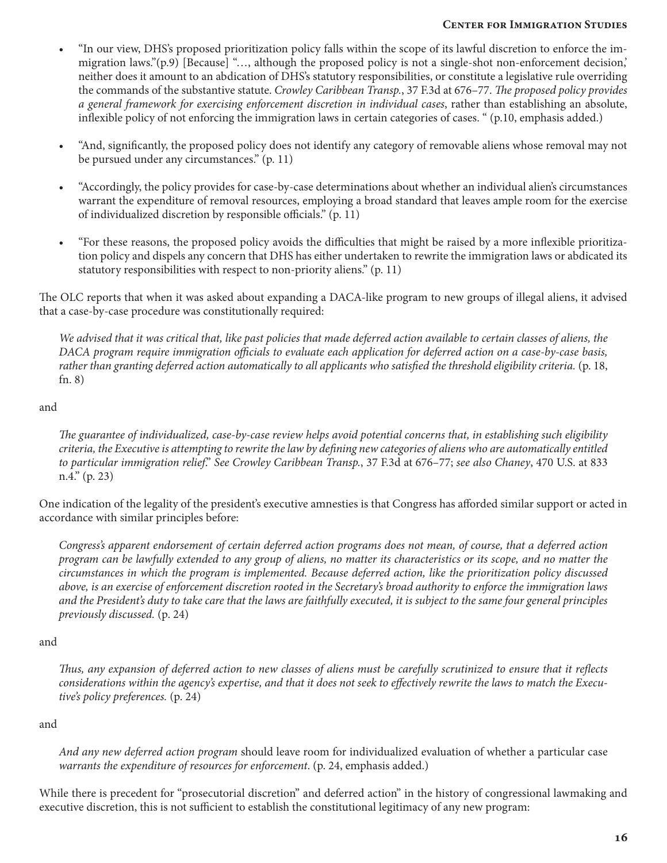- "In our view, DHS's proposed prioritization policy falls within the scope of its lawful discretion to enforce the immigration laws."(p.9) [Because] "…, although the proposed policy is not a single-shot non-enforcement decision,' neither does it amount to an abdication of DHS's statutory responsibilities, or constitute a legislative rule overriding the commands of the substantive statute. *Crowley Caribbean Transp.*, 37 F.3d at 676–77. *The proposed policy provides a general framework for exercising enforcement discretion in individual cases*, rather than establishing an absolute, inflexible policy of not enforcing the immigration laws in certain categories of cases. " (p.10, emphasis added.)
- "And, significantly, the proposed policy does not identify any category of removable aliens whose removal may not be pursued under any circumstances." (p. 11)
- "Accordingly, the policy provides for case-by-case determinations about whether an individual alien's circumstances warrant the expenditure of removal resources, employing a broad standard that leaves ample room for the exercise of individualized discretion by responsible officials." (p. 11)
- "For these reasons, the proposed policy avoids the difficulties that might be raised by a more inflexible prioritization policy and dispels any concern that DHS has either undertaken to rewrite the immigration laws or abdicated its statutory responsibilities with respect to non-priority aliens." (p. 11)

The OLC reports that when it was asked about expanding a DACA-like program to new groups of illegal aliens, it advised that a case-by-case procedure was constitutionally required:

*We advised that it was critical that, like past policies that made deferred action available to certain classes of aliens, the DACA program require immigration officials to evaluate each application for deferred action on a case-by-case basis, rather than granting deferred action automatically to all applicants who satisfied the threshold eligibility criteria.* (p. 18, fn. 8)

### and

*The guarantee of individualized, case-by-case review helps avoid potential concerns that, in establishing such eligibility criteria, the Executive is attempting to rewrite the law by defining new categories of aliens who are automatically entitled to particular immigration relief*." *See Crowley Caribbean Transp.*, 37 F.3d at 676–77; *see also Chaney*, 470 U.S. at 833 n.4." (p. 23)

One indication of the legality of the president's executive amnesties is that Congress has afforded similar support or acted in accordance with similar principles before:

*Congress's apparent endorsement of certain deferred action programs does not mean, of course, that a deferred action program can be lawfully extended to any group of aliens, no matter its characteristics or its scope, and no matter the circumstances in which the program is implemented. Because deferred action, like the prioritization policy discussed above, is an exercise of enforcement discretion rooted in the Secretary's broad authority to enforce the immigration laws and the President's duty to take care that the laws are faithfully executed, it is subject to the same four general principles previously discussed.* (p. 24)

### and

*Thus, any expansion of deferred action to new classes of aliens must be carefully scrutinized to ensure that it reflects considerations within the agency's expertise, and that it does not seek to effectively rewrite the laws to match the Executive's policy preferences.* (p. 24)

and

*And any new deferred action program* should leave room for individualized evaluation of whether a particular case *warrants the expenditure of resources for enforcement*. (p. 24, emphasis added.)

While there is precedent for "prosecutorial discretion" and deferred action" in the history of congressional lawmaking and executive discretion, this is not sufficient to establish the constitutional legitimacy of any new program: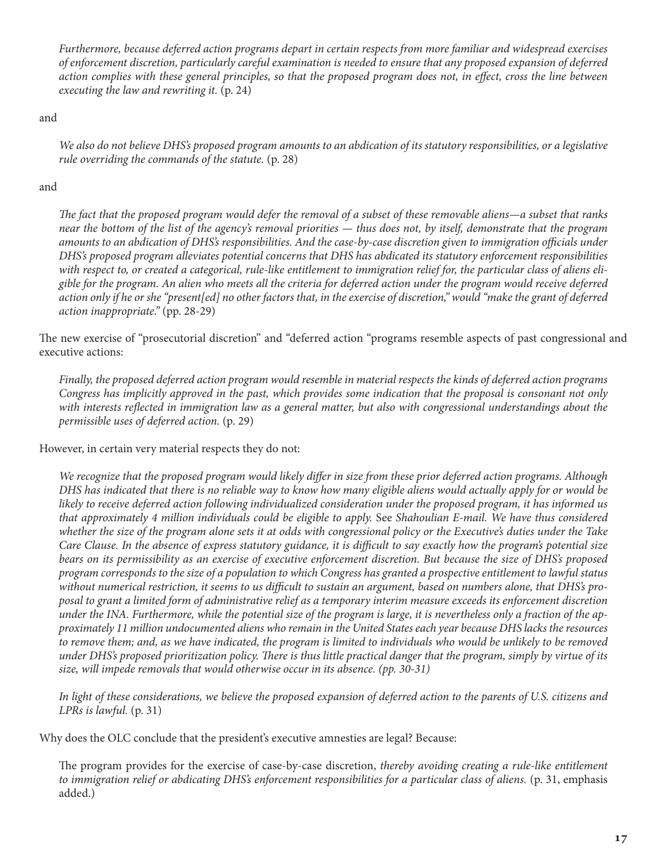*Furthermore, because deferred action programs depart in certain respects from more familiar and widespread exercises of enforcement discretion, particularly careful examination is needed to ensure that any proposed expansion of deferred action complies with these general principles, so that the proposed program does not, in effect, cross the line between executing the law and rewriting it.* (p. 24)

and

*We also do not believe DHS's proposed program amounts to an abdication of its statutory responsibilities, or a legislative rule overriding the commands of the statute.* (p. 28)

and

*The fact that the proposed program would defer the removal of a subset of these removable aliens—a subset that ranks near the bottom of the list of the agency's removal priorities — thus does not, by itself, demonstrate that the program amounts to an abdication of DHS's responsibilities. And the case-by-case discretion given to immigration officials under DHS's proposed program alleviates potential concerns that DHS has abdicated its statutory enforcement responsibilities with respect to, or created a categorical, rule-like entitlement to immigration relief for, the particular class of aliens eligible for the program. An alien who meets all the criteria for deferred action under the program would receive deferred action only if he or she "present[ed] no other factors that, in the exercise of discretion," would "make the grant of deferred action inappropriate."* (pp. 28-29)

The new exercise of "prosecutorial discretion" and "deferred action "programs resemble aspects of past congressional and executive actions:

*Finally, the proposed deferred action program would resemble in material respects the kinds of deferred action programs Congress has implicitly approved in the past, which provides some indication that the proposal is consonant not only with interests reflected in immigration law as a general matter, but also with congressional understandings about the permissible uses of deferred action.* (p. 29)

However, in certain very material respects they do not:

*We recognize that the proposed program would likely differ in size from these prior deferred action programs. Although DHS has indicated that there is no reliable way to know how many eligible aliens would actually apply for or would be likely to receive deferred action following individualized consideration under the proposed program, it has informed us that approximately 4 million individuals could be eligible to apply.* See *Shahoulian E-mail. We have thus considered whether the size of the program alone sets it at odds with congressional policy or the Executive's duties under the Take Care Clause. In the absence of express statutory guidance, it is difficult to say exactly how the program's potential size bears on its permissibility as an exercise of executive enforcement discretion. But because the size of DHS's proposed program corresponds to the size of a population to which Congress has granted a prospective entitlement to lawful status without numerical restriction, it seems to us difficult to sustain an argument, based on numbers alone, that DHS's proposal to grant a limited form of administrative relief as a temporary interim measure exceeds its enforcement discretion under the INA. Furthermore, while the potential size of the program is large, it is nevertheless only a fraction of the approximately 11 million undocumented aliens who remain in the United States each year because DHS lacks the resources*  to remove them; and, as we have indicated, the program is limited to individuals who would be unlikely to be removed *under DHS's proposed prioritization policy. There is thus little practical danger that the program, simply by virtue of its size, will impede removals that would otherwise occur in its absence. (pp. 30-31)*

*In light of these considerations, we believe the proposed expansion of deferred action to the parents of U.S. citizens and LPRs is lawful.* (p. 31)

Why does the OLC conclude that the president's executive amnesties are legal? Because:

The program provides for the exercise of case-by-case discretion, *thereby avoiding creating a rule-like entitlement to immigration relief or abdicating DHS's enforcement responsibilities for a particular class of aliens.* (p. 31, emphasis added.)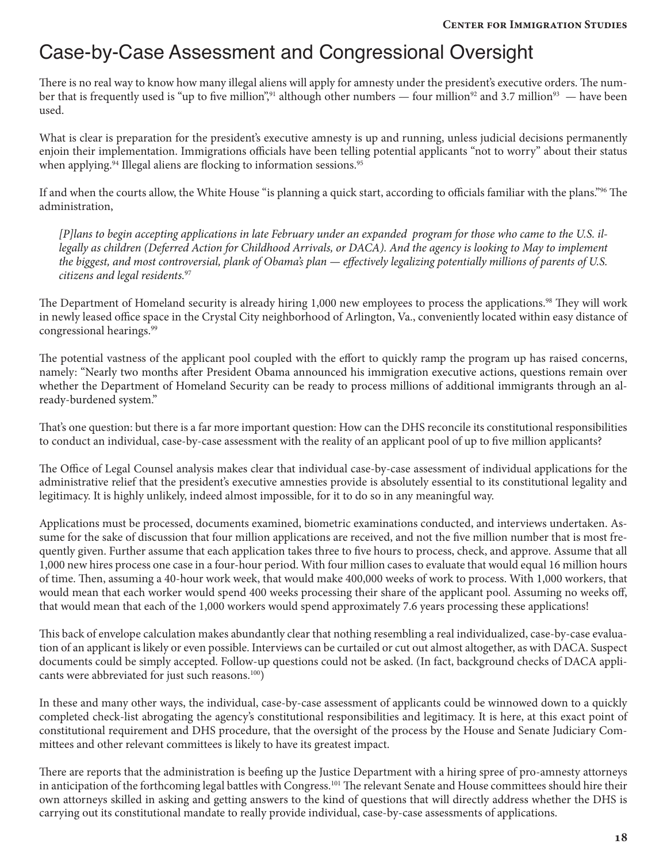## Case-by-Case Assessment and Congressional Oversight

There is no real way to know how many illegal aliens will apply for amnesty under the president's executive orders. The number that is frequently used is "up to five million",<sup>91</sup> although other numbers — four million<sup>92</sup> and 3.7 million<sup>93</sup> — have been used.

What is clear is preparation for the president's executive amnesty is up and running, unless judicial decisions permanently enjoin their implementation. Immigrations officials have been telling potential applicants "not to worry" about their status when applying.<sup>94</sup> Illegal aliens are flocking to information sessions.<sup>95</sup>

If and when the courts allow, the White House "is planning a quick start, according to officials familiar with the plans."96 The administration,

*[P]lans to begin accepting applications in late February under an expanded program for those who came to the U.S. illegally as children (Deferred Action for Childhood Arrivals, or DACA). And the agency is looking to May to implement the biggest, and most controversial, plank of Obama's plan — effectively legalizing potentially millions of parents of U.S. citizens and legal residents.*<sup>97</sup>

The Department of Homeland security is already hiring 1,000 new employees to process the applications.<sup>98</sup> They will work in newly leased office space in the Crystal City neighborhood of Arlington, Va., conveniently located within easy distance of congressional hearings.99

The potential vastness of the applicant pool coupled with the effort to quickly ramp the program up has raised concerns, namely: "Nearly two months after President Obama announced his immigration executive actions, questions remain over whether the Department of Homeland Security can be ready to process millions of additional immigrants through an already-burdened system."

That's one question: but there is a far more important question: How can the DHS reconcile its constitutional responsibilities to conduct an individual, case-by-case assessment with the reality of an applicant pool of up to five million applicants?

The Office of Legal Counsel analysis makes clear that individual case-by-case assessment of individual applications for the administrative relief that the president's executive amnesties provide is absolutely essential to its constitutional legality and legitimacy. It is highly unlikely, indeed almost impossible, for it to do so in any meaningful way.

Applications must be processed, documents examined, biometric examinations conducted, and interviews undertaken. Assume for the sake of discussion that four million applications are received, and not the five million number that is most frequently given. Further assume that each application takes three to five hours to process, check, and approve. Assume that all 1,000 new hires process one case in a four-hour period. With four million cases to evaluate that would equal 16 million hours of time. Then, assuming a 40-hour work week, that would make 400,000 weeks of work to process. With 1,000 workers, that would mean that each worker would spend 400 weeks processing their share of the applicant pool. Assuming no weeks off, that would mean that each of the 1,000 workers would spend approximately 7.6 years processing these applications!

This back of envelope calculation makes abundantly clear that nothing resembling a real individualized, case-by-case evaluation of an applicant is likely or even possible. Interviews can be curtailed or cut out almost altogether, as with DACA. Suspect documents could be simply accepted. Follow-up questions could not be asked. (In fact, background checks of DACA applicants were abbreviated for just such reasons.<sup>100</sup>)

In these and many other ways, the individual, case-by-case assessment of applicants could be winnowed down to a quickly completed check-list abrogating the agency's constitutional responsibilities and legitimacy. It is here, at this exact point of constitutional requirement and DHS procedure, that the oversight of the process by the House and Senate Judiciary Committees and other relevant committees is likely to have its greatest impact.

There are reports that the administration is beefing up the Justice Department with a hiring spree of pro-amnesty attorneys in anticipation of the forthcoming legal battles with Congress.<sup>101</sup> The relevant Senate and House committees should hire their own attorneys skilled in asking and getting answers to the kind of questions that will directly address whether the DHS is carrying out its constitutional mandate to really provide individual, case-by-case assessments of applications.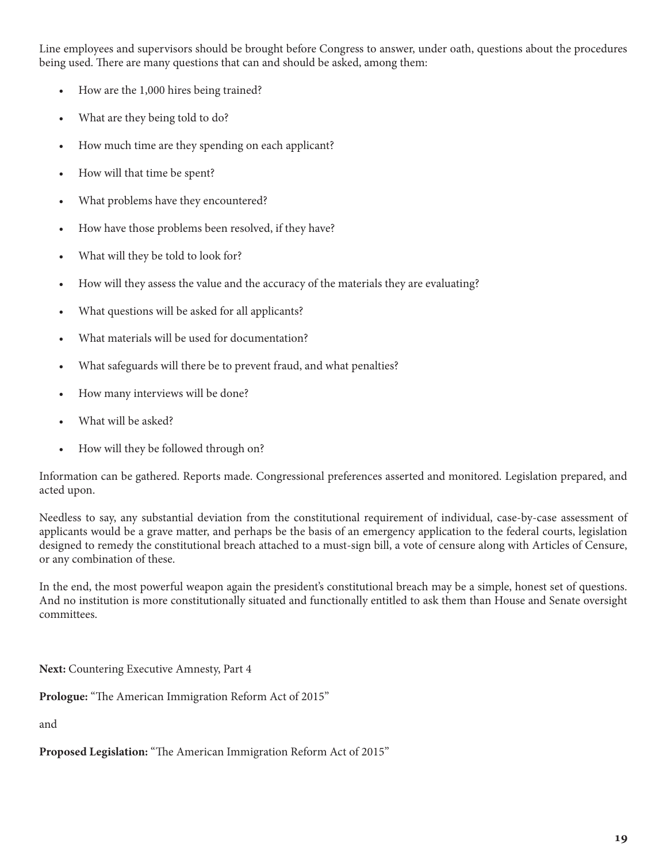Line employees and supervisors should be brought before Congress to answer, under oath, questions about the procedures being used. There are many questions that can and should be asked, among them:

- How are the 1,000 hires being trained?
- What are they being told to do?
- How much time are they spending on each applicant?
- How will that time be spent?
- What problems have they encountered?
- How have those problems been resolved, if they have?
- What will they be told to look for?
- How will they assess the value and the accuracy of the materials they are evaluating?
- What questions will be asked for all applicants?
- What materials will be used for documentation?
- What safeguards will there be to prevent fraud, and what penalties?
- How many interviews will be done?
- What will be asked?
- How will they be followed through on?

Information can be gathered. Reports made. Congressional preferences asserted and monitored. Legislation prepared, and acted upon.

Needless to say, any substantial deviation from the constitutional requirement of individual, case-by-case assessment of applicants would be a grave matter, and perhaps be the basis of an emergency application to the federal courts, legislation designed to remedy the constitutional breach attached to a must-sign bill, a vote of censure along with Articles of Censure, or any combination of these.

In the end, the most powerful weapon again the president's constitutional breach may be a simple, honest set of questions. And no institution is more constitutionally situated and functionally entitled to ask them than House and Senate oversight committees.

**Next:** Countering Executive Amnesty, Part 4

**Prologue:** "The American Immigration Reform Act of 2015"

and

**Proposed Legislation:** "The American Immigration Reform Act of 2015"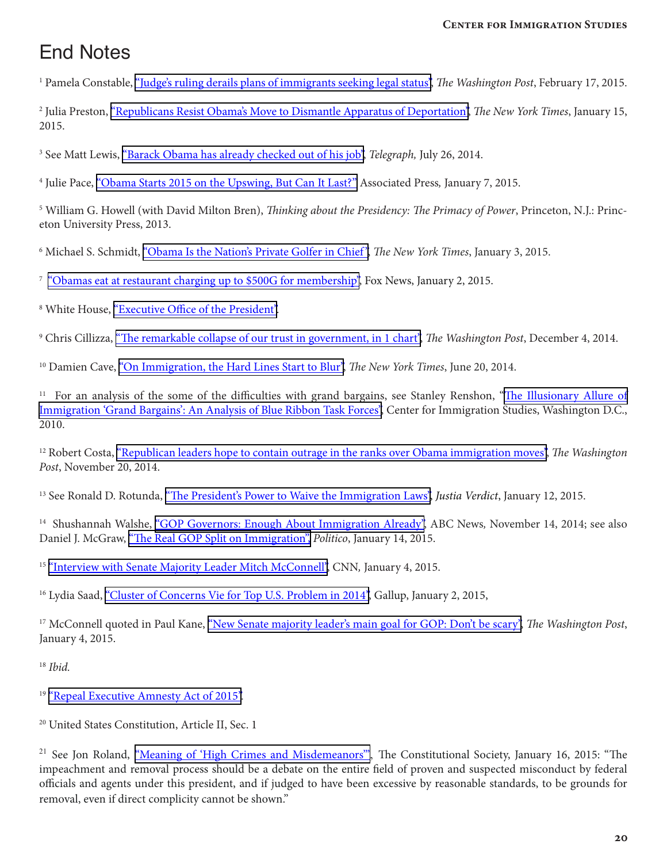# End Notes

<sup>1</sup> Pamela Constable, <u>"Judge's ruling derails plans of immigrants seeking legal status", *The Washington Post*, February 17, 2015.</u>

2 Julia Preston, ["Republicans Resist Obama's Move to Dismantle Apparatus of Deportation",](http://www.nytimes.com/2015/01/16/us/secure-communities-immigration-program-battle.html?_r=0) *The New York Times*, January 15, 2015.

<sup>3</sup> See Matt Lewis, <u>"Barack Obama has already checked out of his job",</u> *Telegraph*, July 26, 2014.

4 Julie Pace, ["Obama Starts 2015 on the Upswing, But Can It Last?"](http://www.pbs.org/newshour/rundown/obama-starts-2015-upswing-can-last/) Associated Press*,* January 7, 2015.

5 William G. Howell (with David Milton Bren), *Thinking about the Presidency: The Primacy of Power*, Princeton, N.J.: Princeton University Press, 2013.

<sup>6</sup> Michael S. Schmidt, <u>"Obama Is the Nation's Private Golfer in Chief",</u> *The New York Times*, January 3, 2015.

<sup>7</sup> ["Obamas eat at restaurant charging up to \\$500G for membership",](http://www.foxnews.com/politics/2015/01/02/obamas-eat-at-restaurant-charging-up-to-500g-for-membership/) Fox News, January 2, 2015.

<sup>8</sup> White House, <u>"Executive Office of the President"</u>.

9 Chris Cillizza, ["The remarkable collapse of our trust in government, in 1 chart",](http://www.washingtonpost.com/blogs/the-fix/wp/2014/12/04/the-remarkable-collapse-of-our-trust-in-government-in-1-chart/) *The Washington Post*, December 4, 2014.

<sup>10</sup> Damien Cave, ["On Immigration, the Hard Lines Start to Blur"](http://www.nytimes.com/2014/06/21/us/on-immigration-the-hard-lines-start-to-blur.html), *The New York Times*, June 20, 2014.

<sup>11</sup> For an analysis of the some of the difficulties with grand bargains, see Stanley Renshon, ["The Illusionary Allure of](http://cis.org/illusionary-allure) [Immigration 'Grand Bargains': An Analysis of Blue Ribbon Task Forces",](http://cis.org/illusionary-allure) Center for Immigration Studies, Washington D.C., 2010.

12 Robert Costa, ["Republican leaders hope to contain outrage in the ranks over Obama immigration moves",](http://www.washingtonpost.com/politics/republican-leaders-hope-to-contain-outrage-in-the-ranks-over-obama-immigration-moves/2014/11/20/bd78bd8c-70ce-11e4-ad12-3734c461eab6_story.html) *The Washington Post*, November 20, 2014.

13 See Ronald D. Rotunda, ["The President's Power to Waive the Immigration Laws",](http://verdict.justia.com/2015/01/12/presidents-power-waive-immigration-laws) *Justia Verdict*, January 12, 2015.

14 Shushannah Walshe, ["GOP Governors: Enough About Immigration Already"](http://abcnews.go.com/Politics/gop-governors-immigration/story?id=27063214), ABC News*,* November 14, 2014; see also Daniel J. McGraw, ["The Real GOP Split on Immigration",](http://www.politico.com/magazine/story/2015/01/gop-immigration-split-113396.html#.VTA0c0L8M3c) *Politico*, January 14, 2015.

<sup>15</sup> ["Interview with Senate Majority Leader Mitch McConnell"](http://cnnpressroom.blogs.cnn.com/2015/01/04/sen-mcconnell-im-not-opposed-to-negotiating-with-the-administration/), CNN, January 4, 2015.

<sup>16</sup> Lydia Saad, ["Cluster of Concerns Vie for Top U.S. Problem in 2014",](http://www.gallup.com/poll/180398/cluster-concerns-vie-top-problem-2014.aspx) Gallup, January 2, 2015,

<sup>17</sup> McConnell quoted in Paul Kane, ["New Senate majority leader's main goal for GOP: Don't be scary"](http://www.washingtonpost.com/politics/new-senate-majority-leaders-main-goal-for-gop-dont-be-scary/2015/01/04/80d27196-9074-11e4-a900-9960214d4cd7_story.html), *The Washington Post*, January 4, 2015.

<sup>18</sup> *Ibid.*

<sup>19</sup> ["Repeal Executive Amnesty Act of 2015"](http://www.scribd.com/doc/252070794/Aderholt-Immigration-Bill-Summary-1-7-2015#scribd).

20 United States Constitution, Article II, Sec. 1

<sup>21</sup> See Jon Roland, <u>"Meaning of 'High Crimes and Misdemeanors"</u>, The Constitutional Society, January 16, 2015: "The impeachment and removal process should be a debate on the entire field of proven and suspected misconduct by federal officials and agents under this president, and if judged to have been excessive by reasonable standards, to be grounds for removal, even if direct complicity cannot be shown."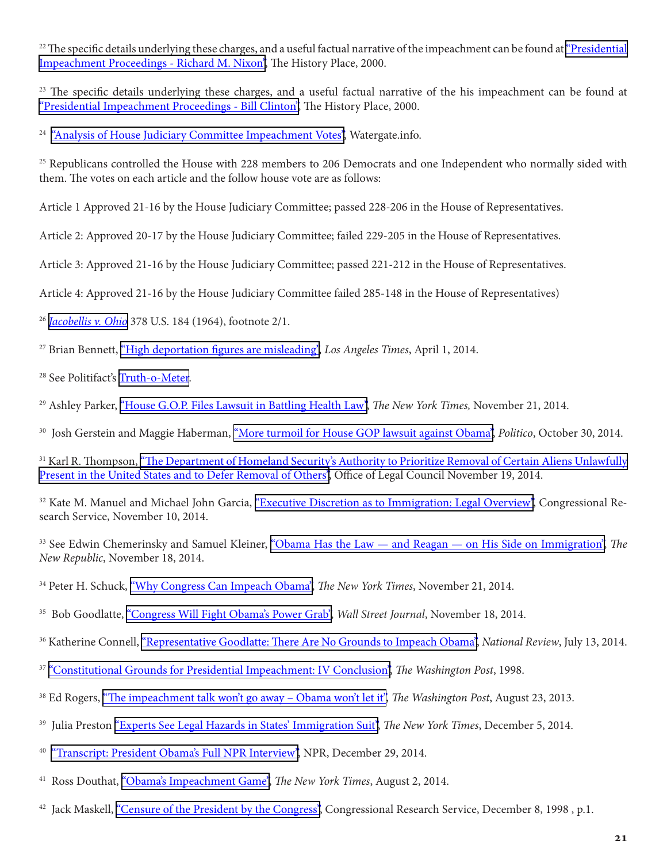<sup>22</sup> The specific details underlying these charges, and a useful factual narrative of the impeachment can be found at ["Presidential](http://www.historyplace.com/unitedstates/impeachments/nixon.htm)" [Impeachment Proceedings - Richard M. Nixon"](http://www.historyplace.com/unitedstates/impeachments/nixon.htm), The History Place, 2000.

 $23$  The specific details underlying these charges, and a useful factual narrative of the his impeachment can be found at ["Presidential Impeachment Proceedings - Bill Clinton",](http://www.historyplace.com/unitedstates/impeachments/clinton.htm) The History Place, 2000.

<sup>24</sup> ["Analysis of House Judiciary Committee Impeachment Votes",](http://watergate.info/impeachment/analysis-judiciary-committee-impeachment-votes) Watergate.info.

 $25$  Republicans controlled the House with 228 members to 206 Democrats and one Independent who normally sided with them. The votes on each article and the follow house vote are as follows:

Article 1 Approved 21-16 by the House Judiciary Committee; passed 228-206 in the House of Representatives.

Article 2: Approved 20-17 by the House Judiciary Committee; failed 229-205 in the House of Representatives.

Article 3: Approved 21-16 by the House Judiciary Committee; passed 221-212 in the House of Representatives.

Article 4: Approved 21-16 by the House Judiciary Committee failed 285-148 in the House of Representatives)

<sup>26</sup> *[Jacobellis v. Ohio](https://supreme.justia.com/cases/federal/us/378/184/case.html)* 378 U.S. 184 (1964), footnote 2/1.

27 Brian Bennett, ["High deportation figures are misleading",](http://www.latimes.com/nation/la-na-obama-deportations-20140402-story.html#page=1) *Los Angeles Times*, April 1, 2014.

<sup>28</sup> See Politifact's [Truth-o-Meter](http://www.politifact.com/truth-o-meter/statements/).

<sup>29</sup> Ashley Parker, ["House G.O.P. Files Lawsuit in Battling Health Law",](http://www.nytimes.com/2014/11/22/us/politics/obamacare-lawsuit-filed-by-republicans.html) *The New York Times*, November 21, 2014.

30 Josh Gerstein and Maggie Haberman, ["More turmoil for House GOP lawsuit against Obama"](http://www.politico.com/story/2014/10/barack-obama-john-boehner-lawsuit-112333.html), *Politico*, October 30, 2014.

<sup>31</sup> Karl R. Thompson, ["The Department of Homeland Security's Authority to Prioritize Removal of Certain Aliens Unlawfully](http://www.justice.gov/sites/default/files/olc/opinions/attachments/2014/11/20/2014-11-19-auth-prioritize-removal.pdf) [Present in the United States and to Defer Removal of Others",](http://www.justice.gov/sites/default/files/olc/opinions/attachments/2014/11/20/2014-11-19-auth-prioritize-removal.pdf) Office of Legal Council November 19, 2014.

<sup>32</sup> Kate M. Manuel and Michael John Garcia, ["Executive Discretion as to Immigration: Legal Overview",](http://fas.org/sgp/crs/homesec/R43782.pdf) Congressional Research Service, November 10, 2014.

33 See Edwin Chemerinsky and Samuel Kleiner, ["Obama Has the Law — and Reagan — on His Side on Immigration",](http://www.newrepublic.com/article/120328/obama-immigration-executive-action-why-it-will-be-legal) *The New Republic*, November 18, 2014.

34 Peter H. Schuck, ["Why Congress Can Impeach Obama"](http://www.nytimes.com/2014/11/22/opinion/the-impeachment-of-obama-on-immigration-may-be-legal-but-its-wrong.html), *The New York Times*, November 21, 2014.

<sup>35</sup> Bob Goodlatte, ["Congress Will Fight Obama's Power Grab",](http://www.wsj.com/articles/bob-goodlatte-congress-will-fight-obamas-power-grab-1416355365) *Wall Street Journal*, November 18, 2014.

<sup>36</sup> Katherine Connell, ["Representative Goodlatte: There Are No Grounds to Impeach Obama",](http://www.nationalreview.com/corner/382607/representative-goodlatte-there-are-no-grounds-impeach-obama-katherine-connell) *National Review*, July 13, 2014.

<sup>37</sup> ["Constitutional Grounds for Presidential Impeachment: IV Conclusion"](http://www.washingtonpost.com/wp-srv/politics/special/clinton/stories/watergatedoc_9.htm), *The Washington Post*, 1998.

- 38 Ed Rogers, ["The impeachment talk won't go away Obama won't let it",](http://www.washingtonpost.com/blogs/post-partisan/wp/2013/08/23/the-insiders-the-impeachment-talk-wont-go-away-obama-wont-let-it/) *The Washington Post*, August 23, 2013.
- 39 Julia Preston ["Experts See Legal Hazards in States' Immigration Suit",](http://www.nytimes.com/2014/12/06/us/experts-see-legal-hazards-in-states-immigration-suit.html) *The New York Times*, December 5, 2014.
- <sup>40</sup> ["Transcript: President Obama's Full NPR Interview",](http://www.npr.org/2014/12/29/372485968/transcript-president-obamas-full-npr-interview) NPR, December 29, 2014.
- 41 Ross Douthat, ["Obama's Impeachment Game"](http://www.nytimes.com/), *The New York Times*, August 2, 2014.
- <sup>42</sup> Jack Maskell, ["Censure of the President by the Congress",](http://crs.wikileaks-press.org/98-843.pdf) Congressional Research Service, December 8, 1998, p.1.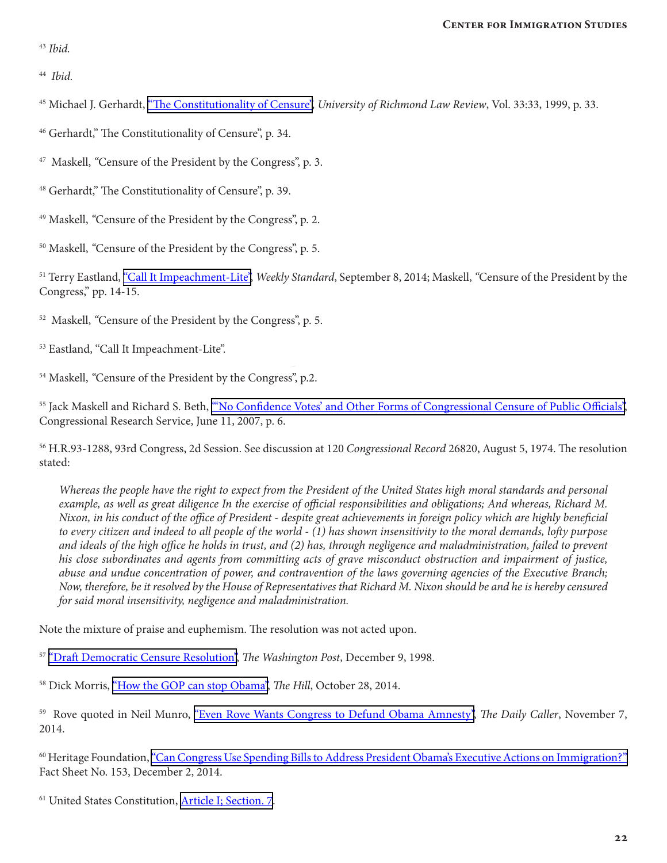<sup>43</sup> *Ibid.*

44 *Ibid.*

<sup>45</sup> Michael J. Gerhardt, ["The Constitutionality of Censure"](http://scholarship.law.wm.edu/cgi/viewcontent.cgi?article=1897&context=facpubs), *University of Richmond Law Review*, Vol. 33:33, 1999, p. 33.

46 Gerhardt," The Constitutionality of Censure", p. 34.

<sup>47</sup> Maskell, "Censure of the President by the Congress", p. 3.

48 Gerhardt," The Constitutionality of Censure", p. 39.

49 Maskell, *"*Censure of the President by the Congress", p. 2.

<sup>50</sup> Maskell, "Censure of the President by the Congress", p. 5.

51 Terry Eastland, ["Call It Impeachment-Lite"](http://www.weeklystandard.com/articles/call-it-impeachment-lite_804008.html), *Weekly Standard*, September 8, 2014; Maskell, *"*Censure of the President by the Congress," pp. 14-15.

52 Maskell, *"*Censure of the President by the Congress", p. 5.

53 Eastland, "Call It Impeachment-Lite".

<sup>54</sup> Maskell, "Censure of the President by the Congress", p.2.

<sup>55</sup> Jack Maskell and Richard S. Beth, "No Confidence Votes' and Other Forms of Congressional Censure of Public Officials", Congressional Research Service, June 11, 2007, p. 6.

56 H.R.93-1288, 93rd Congress, 2d Session. See discussion at 120 *Congressional Record* 26820, August 5, 1974. The resolution stated:

*Whereas the people have the right to expect from the President of the United States high moral standards and personal example, as well as great diligence In the exercise of official responsibilities and obligations; And whereas, Richard M. Nixon, in his conduct of the office of President - despite great achievements in foreign policy which are highly beneficial to every citizen and indeed to all people of the world - (1) has shown insensitivity to the moral demands, lofty purpose and ideals of the high office he holds in trust, and (2) has, through negligence and maladministration, failed to prevent his close subordinates and agents from committing acts of grave misconduct obstruction and impairment of justice, abuse and undue concentration of power, and contravention of the laws governing agencies of the Executive Branch; Now, therefore, be it resolved by the House of Representatives that Richard M. Nixon should be and he is hereby censured for said moral insensitivity, negligence and maladministration.*

Note the mixture of praise and euphemism. The resolution was not acted upon.

<sup>57</sup> ["Draft Democratic Censure Resolution"](http://www.washingtonpost.com/wp-srv/politics/special/clinton/stories/censuretext120998.htm), *The Washington Post*, December 9, 1998.

58 Dick Morris, ["How the GOP can stop Obama",](http://thehill.com/opinion/dick-morris/222138-dick-morris-how-gop-can-stop-obama) *The Hill*, October 28, 2014.

59 Rove quoted in Neil Munro, ["Even Rove Wants Congress to Defund Obama Amnesty"](http://dailycaller.com/2014/11/07/even-rove-wants-congress-to-defund-obama-amnesty/), *The Daily Caller*, November 7, 2014.

60 Heritage Foundation, ["Can Congress Use Spending Bills to Address President Obama's Executive Actions on Immigration?"](http://www.heritage.org/research/factsheets/2014/12/can-congress-use-spending-bills-to-address-president-obamas-executive-actions-on-immigration) Fact Sheet No. 153, December 2, 2014.

61 United States Constitution, [Article I; Section. 7](http://www.heritage.org/constitution/#!/articles/1/essays/30/origination-clause).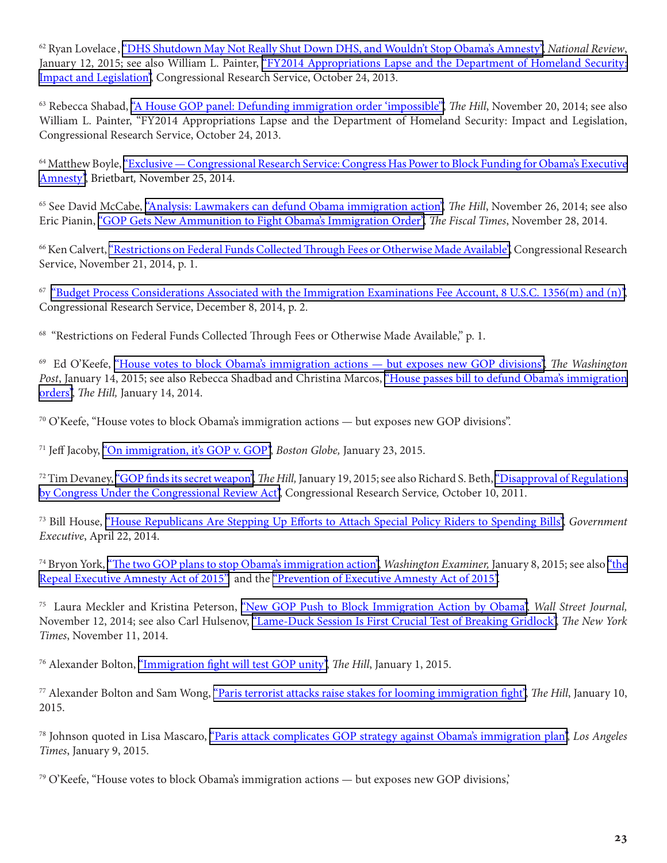62 Ryan Lovelace , ["DHS Shutdown May Not Really Shut Down DHS, and Wouldn't Stop Obama's Amnesty"](http://www.nationalreview.com/corner/396237/dhs-shutdown-may-not-really-shut-down-dhs-and-wouldnt-stop-obamas-amnesty-ryan), *National Review*, January 12, 2015; see also William L. Painter, "FY2014 Appropriations Lapse and the Department of Homeland Security: [Impact and Legislation"](https://fas.org/sgp/crs/homesec/R43252.pdf  (https://www.fas.org/sgp/crs/homesec/R43252.pdf), Congressional Research Service, October 24, 2013.

63 Rebecca Shabad, ["A House GOP panel: Defunding immigration order 'impossible'"](http://thehill.com/policy/finance/224837-appropriations-panel-defunding-immigration-order-impossible), *The Hill*, November 20, 2014; see also William L. Painter, "FY2014 Appropriations Lapse and the Department of Homeland Security: Impact and Legislation, Congressional Research Service, October 24, 2013.

64 Matthew Boyle, ["Exclusive — Congressional Research Service: Congress Has Power to Block Funding for Obama's Executive](http://www.breitbart.com/big-government/2014/11/25/exclusive-congressional-research-service-congress-has-power-to-block-funding-for-obamas/) [Amnesty"](http://www.breitbart.com/big-government/2014/11/25/exclusive-congressional-research-service-congress-has-power-to-block-funding-for-obamas/), Brietbart*,* November 25, 2014.

<sup>65</sup> See David McCabe, ["Analysis: Lawmakers can defund Obama immigration action"](http://thehill.com/blogs/blog-briefing-room/225453-analysis-congress-can-defund-order), *The Hill*, November 26, 2014; see also Eric Pianin, ["GOP Gets New Ammunition to Fight Obama's Immigration Order",](http://www.thefiscaltimes.com/2014/11/28/GOP-Gets-New-Ammunition-Fight-Obama-s-Immigration-Order) *The Fiscal Times*, November 28, 2014.

66 Ken Calvert, ["Restrictions on Federal Funds Collected Through Fees or Otherwise Made Available",](http://calvert.house.gov/uploadedfiles/restrictions_on_federal_funds_collected_through_fees_or_otherwise_made_available.pdf) Congressional Research Service, November 21, 2014, p. 1.

67 ["Budget Process Considerations Associated with the Immigration Examinations Fee Account, 8 U.S.C. 1356\(m\) and \(n\)"](http://sessions.house.gov/_cache/files/0e3ed61d-4852-4ef3-a8a4 29d63728269a/CRS%20Report%20regarding%20Immigration%20Examinations%20Fee%20Account.pdf), Congressional Research Service, December 8, 2014, p. 2.

<sup>68</sup> "Restrictions on Federal Funds Collected Through Fees or Otherwise Made Available," p. 1.

69 Ed O'Keefe, ["House votes to block Obama's immigration actions — but exposes new GOP divisions"](http://www.washingtonpost.com/blogs/post-politics/wp/2015/01/14/house-votes-to-block-obamas-immigration-actions-but-exposes-new-gop-divisions/), *The Washington Post*, January 14, 2015; see also Rebecca Shadbad and Christina Marcos, ["House passes bill to defund Obama's immigration](http://thehill.com/blogs/floor-action/house/229469-house-votes-to-defund-obamas-immigration-orders) [orders"](http://thehill.com/blogs/floor-action/house/229469-house-votes-to-defund-obamas-immigration-orders), *The Hill,* January 14, 2014.

 $70$  O'Keefe, "House votes to block Obama's immigration actions — but exposes new GOP divisions".

71 Jeff Jacoby, ["On immigration, it's GOP v. GOP"](http://www.bostonglobe.com/opinion/2015/01/23/immigration-gop-gop/vw2rJPigDLUYmQmau3UkQI/story.html), *Boston Globe,* January 23, 2015.

<sup>72</sup> Tim Devaney, ["GOP finds its secret weapon"](http://thehill.com/regulation/legislation/229936-gop-finds-its-secret-weapon), *The Hill*, January 19, 2015; see also Richard S. Beth, "Disapproval of Regulations [by Congress Under the Congressional Review Act",](https://www.senate.gov/CRSReports/crs-publish.cfm?pid=�0E%2C*P%5C_%3D%22P%20%20%0A) Congressional Research Service*,* October 10, 2011.

73 Bill House, ["House Republicans Are Stepping Up Efforts to Attach Special Policy Riders to Spending Bills",](http://www.govexec.com/oversight/2014/04/house-republicans-are-stepping-efforts-attach-special-policy-riders-spending-bills/82963/) *Government Executive*, April 22, 2014.

74 Bryon York, ["The two GOP plans to stop Obama's immigration action"](http://www.washingtonexaminer.com/the-two-gop-plans-to-stop-obamas-immigration-action/article/2558347), *Washington Examiner,* January 8, 2015; see also ["the](https://www.congress.gov/bill/114th-congress/house-bill/191/text) [Repeal Executive Amnesty Act of 2015"](https://www.congress.gov/bill/114th-congress/house-bill/191/text) and the ["Prevention of Executive Amnesty Act of 2015".](https://www.govtrack.us/congress/bills/114/hr31)

75 Laura Meckler and Kristina Peterson, ["New GOP Push to Block Immigration Action by Obama",](http://www.wsj.com/articles/new-gop-push-to-block-immigration-action-by-obama-1415840757) *Wall Street Journal,* November 12, 2014; see also Carl Hulsenov, ["Lame-Duck Session Is First Crucial Test of Breaking Gridlock",](http://www.nytimes.com/2014/11/12/us/politics/lame-duck-session-is-first-crucial-test-of-breaking-gridlock.html?gwh=A83D1AAB7E117C7813EBBD33C102F97F&gwt=pay&assetType=nyt_now) *The New York Times*, November 11, 2014.

76 Alexander Bolton, ["Immigration fight will test GOP unity",](http://thehill.com/homenews/senate/229291-immigration-fight-will-test-gops-unity) *The Hill*, January 1, 2015.

77 Alexander Bolton and Sam Wong, ["Paris terrorist attacks raise stakes for looming immigration fight"](http://thehill.com/homenews/news/229111-paris-raises-stakes-for-immigration-fight), *The Hill*, January 10, 2015.

78 Johnson quoted in Lisa Mascaro, ["Paris attack complicates GOP strategy against Obama's immigration plan",](http://www.latimes.com/nation/politics/politicsnow/la-pn-congress-immigration-20150108-story.html) *Los Angeles Times*, January 9, 2015.

79 O'Keefe, "House votes to block Obama's immigration actions — but exposes new GOP divisions,'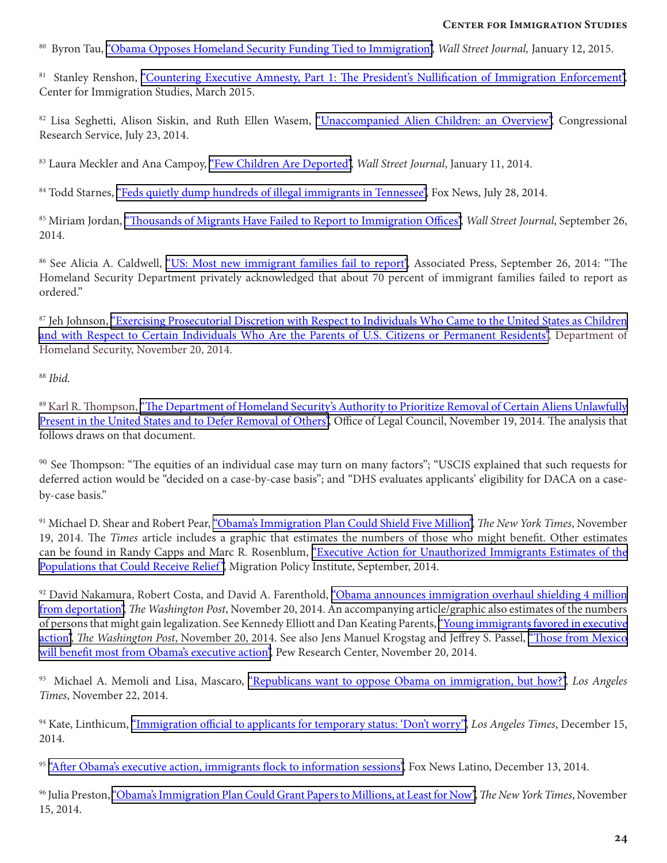80 Byron Tau, ["Obama Opposes Homeland Security Funding Tied to Immigration",](http://http://www.wsj.com/articles/obama-opposes-homeland-security-funding-tied-to-immigration-1421090874) *Wall Street Journal,* January 12, 2015.

81 Stanley Renshon, ["Countering Executive Amnesty, Part 1: The President's Nullification of Immigration Enforcement"](http://cis.org/countering-executive-amnesty-p1), Center for Immigration Studies, March 2015.

<sup>82</sup> Lisa Seghetti, Alison Siskin, and Ruth Ellen Wasem, ["Unaccompanied Alien Children: an Overview"](http://fas.org/sgp/crs/homesec/R43599.pdf), Congressional Research Service, July 23, 2014.

83 Laura Meckler and Ana Campoy, ["Few Children Are Deported"](http://www.wsj.com/articles/few-children-are-deported-1405036369), *Wall Street Journal*, January 11, 2014.

84 Todd Starnes, ["Feds quietly dump hundreds of illegal immigrants in Tennessee"](http://www.foxnews.com/opinion/2014/07/28/feds-secretly-dump-hundreds-illegal-immigrants-in-tennessee/), Fox News, July 28, 2014.

85 Miriam Jordan, ["Thousands of Migrants Have Failed to Report to Immigration Offices",](http://www.wsj.com/articles/thousands-of-migrants-failed-to-report-to-immigration-offices-1411768102) *Wall Street Journal*, September 26, 2014.

<sup>86</sup> See Alicia A. Caldwell, ["US: Most new immigrant families fail to report",](http://www.dispatch.com/content/stories/national_world/2014/09/25/immigrant-families-fail-to-report-as-told.html) Associated Press, September 26, 2014: "The Homeland Security Department privately acknowledged that about 70 percent of immigrant families failed to report as ordered"

<sup>87</sup> Jeh Johnson, "Exercising Prosecutorial Discretion with Respect to Individuals Who Came to the United States as Children [and with Respect to Certain Individuals Who Are the Parents of U.S. Citizens or Permanent Residents"](http://www.dhs.gov/sites/default/files/publications/14_1120_memo_deferred_action.pdf), Department of Homeland Security, November 20, 2014.

<sup>88</sup> *Ibid.*

89 Karl R. Thompson, ["The Department of Homeland Security's Authority to Prioritize Removal of Certain Aliens Unlawfully](http://www.justice.gov/sites/default/files/olc/opinions/attachments/2014/11/20/2014-11-19-auth-prioritize-removal.pdf) [Present in the United States and to Defer Removal of Others",](http://www.justice.gov/sites/default/files/olc/opinions/attachments/2014/11/20/2014-11-19-auth-prioritize-removal.pdf) Office of Legal Council, November 19, 2014. The analysis that follows draws on that document.

<sup>90</sup> See Thompson: "The equities of an individual case may turn on many factors"; "USCIS explained that such requests for deferred action would be "decided on a case-by-case basis"; and "DHS evaluates applicants' eligibility for DACA on a caseby-case basis."

91 Michael D. Shear and Robert Pear, ["Obama's Immigration Plan Could Shield Five Million"](http://www.nytimes.com/2014/11/20/us/politics/obamacare-unlikely-for-undocumented-immigrants.html?gwh=EA6EB6E825BDC3CDF19DFE9EE9F31F0A&gwt=pay&assetType=nyt_now), *The New York Times*, November 19, 2014. The *Times* article includes a graphic that estimates the numbers of those who might benefit. Other estimates can be found in Randy Capps and Marc R. Rosenblum, ["Executive Action for Unauthorized Immigrants Estimates of the](http://www.migrationpolicy.org/research/executive-action-unauthorized-immigrants-estimates-populations-could-receive-relief) Populations that Could Receive Relief", Migration Policy Institute, September, 2014.

<sup>92</sup> David Nakamura, Robert Costa, and David A. Farenthold, ["Obama announces immigration overhaul shielding 4 million](http://www.washingtonpost.com/politics/obama-immigration-plan-will-shield-37-million-from-deportation/2014/11/20/3345d672-70dd-11e4-893f-86bd390a3340_story.html)  [from deportation"](http://www.washingtonpost.com/politics/obama-immigration-plan-will-shield-37-million-from-deportation/2014/11/20/3345d672-70dd-11e4-893f-86bd390a3340_story.html), *The Washington Post*, November 20, 2014. An accompanying article/graphic also estimates of the numbers of persons that might gain legalization. See Kennedy Elliott and Dan Keating Parents, ["Young immigrants favored in executive](http://www.washingtonpost.com/wp-srv/special/politics/immigration-exec-order/) [action"](http://www.washingtonpost.com/wp-srv/special/politics/immigration-exec-order/), *The Washington Post*, November 20, 2014. See also Jens Manuel Krogstag and Jeffrey S. Passel, ["Those from Mexico](http://www.pewresearch.org/fact-tank/2014/11/20/those-from-mexico-will-benefit-most-from-obamas-executive-action/)  [will benefit most from Obama's executive action"](http://www.pewresearch.org/fact-tank/2014/11/20/those-from-mexico-will-benefit-most-from-obamas-executive-action/), Pew Research Center, November 20, 2014.

93 Michael A. Memoli and Lisa, Mascaro, ["Republicans want to oppose Obama on immigration, but how?"](http://www.latimes.com/nation/politics/la-na-immigration-congress-20141123-story.html), *Los Angeles Times*, November 22, 2014.

94 Kate, Linthicum, ["Immigration official to applicants for temporary status: 'Don't worry'",](http://www.latimes.com/local/lanow/la-me-ln-uscis-director-leon-rodriguez-20141215-story.html) *Los Angeles Times*, December 15, 2014.

<sup>95</sup> ["After Obama's executive action, immigrants flock to information sessions"](http://latino.foxnews.com/latino/politics/2014/12/13/after-obama-executive-action-immigrants-flock-to-information-sessions/), Fox News Latino, December 13, 2014.

96 Julia Preston, ["Obama's Immigration Plan Could Grant Papers to Millions, at Least for Now"](http://www.nytimes.com/2014/11/16/us/obamas-immigration-plan-could-grant-papers-to-millions-at-least-for-now.html), *The New York Times*, November 15, 2014.